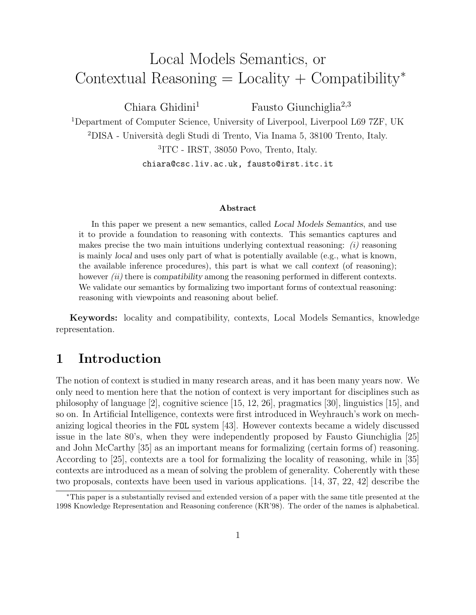# Local Models Semantics, or Contextual Reasoning =  $Locality + Compatibility*$

Chiara Ghidini<sup>1</sup> Fausto Giunchiglia<sup>2,3</sup>

<sup>1</sup>Department of Computer Science, University of Liverpool, Liverpool L69 7ZF, UK <sup>2</sup>DISA - Università degli Studi di Trento, Via Inama 5, 38100 Trento, Italy. 3 ITC - IRST, 38050 Povo, Trento, Italy. chiara@csc.liv.ac.uk, fausto@irst.itc.it

#### Abstract

In this paper we present a new semantics, called Local Models Semantics, and use it to provide a foundation to reasoning with contexts. This semantics captures and makes precise the two main intuitions underlying contextual reasoning:  $(i)$  reasoning is mainly local and uses only part of what is potentially available (e.g., what is known, the available inference procedures), this part is what we call context (of reasoning); however *(ii)* there is compatibility among the reasoning performed in different contexts. We validate our semantics by formalizing two important forms of contextual reasoning: reasoning with viewpoints and reasoning about belief.

Keywords: locality and compatibility, contexts, Local Models Semantics, knowledge representation.

# 1 Introduction

The notion of context is studied in many research areas, and it has been many years now. We only need to mention here that the notion of context is very important for disciplines such as philosophy of language [2], cognitive science [15, 12, 26], pragmatics [30], linguistics [15], and so on. In Artificial Intelligence, contexts were first introduced in Weyhrauch's work on mechanizing logical theories in the FOL system [43]. However contexts became a widely discussed issue in the late 80's, when they were independently proposed by Fausto Giunchiglia [25] and John McCarthy [35] as an important means for formalizing (certain forms of) reasoning. According to [25], contexts are a tool for formalizing the locality of reasoning, while in [35] contexts are introduced as a mean of solving the problem of generality. Coherently with these two proposals, contexts have been used in various applications. [14, 37, 22, 42] describe the

<sup>∗</sup>This paper is a substantially revised and extended version of a paper with the same title presented at the 1998 Knowledge Representation and Reasoning conference (KR'98). The order of the names is alphabetical.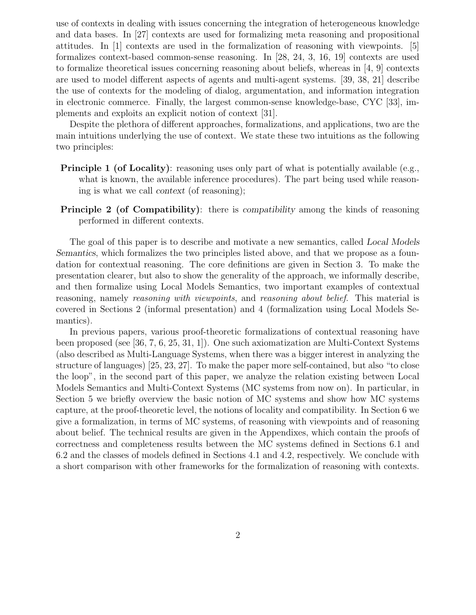use of contexts in dealing with issues concerning the integration of heterogeneous knowledge and data bases. In [27] contexts are used for formalizing meta reasoning and propositional attitudes. In [1] contexts are used in the formalization of reasoning with viewpoints. [5] formalizes context-based common-sense reasoning. In [28, 24, 3, 16, 19] contexts are used to formalize theoretical issues concerning reasoning about beliefs, whereas in [4, 9] contexts are used to model different aspects of agents and multi-agent systems. [39, 38, 21] describe the use of contexts for the modeling of dialog, argumentation, and information integration in electronic commerce. Finally, the largest common-sense knowledge-base, CYC [33], implements and exploits an explicit notion of context [31].

Despite the plethora of different approaches, formalizations, and applications, two are the main intuitions underlying the use of context. We state these two intuitions as the following two principles:

- **Principle 1 (of Locality)**: reasoning uses only part of what is potentially available (e.g., what is known, the available inference procedures). The part being used while reasoning is what we call context (of reasoning);
- Principle 2 (of Compatibility): there is compatibility among the kinds of reasoning performed in different contexts.

The goal of this paper is to describe and motivate a new semantics, called Local Models Semantics, which formalizes the two principles listed above, and that we propose as a foundation for contextual reasoning. The core definitions are given in Section 3. To make the presentation clearer, but also to show the generality of the approach, we informally describe, and then formalize using Local Models Semantics, two important examples of contextual reasoning, namely *reasoning with viewpoints*, and *reasoning about belief*. This material is covered in Sections 2 (informal presentation) and 4 (formalization using Local Models Semantics).

In previous papers, various proof-theoretic formalizations of contextual reasoning have been proposed (see [36, 7, 6, 25, 31, 1]). One such axiomatization are Multi-Context Systems (also described as Multi-Language Systems, when there was a bigger interest in analyzing the structure of languages) [25, 23, 27]. To make the paper more self-contained, but also "to close the loop", in the second part of this paper, we analyze the relation existing between Local Models Semantics and Multi-Context Systems (MC systems from now on). In particular, in Section 5 we briefly overview the basic notion of MC systems and show how MC systems capture, at the proof-theoretic level, the notions of locality and compatibility. In Section 6 we give a formalization, in terms of MC systems, of reasoning with viewpoints and of reasoning about belief. The technical results are given in the Appendixes, which contain the proofs of correctness and completeness results between the MC systems defined in Sections 6.1 and 6.2 and the classes of models defined in Sections 4.1 and 4.2, respectively. We conclude with a short comparison with other frameworks for the formalization of reasoning with contexts.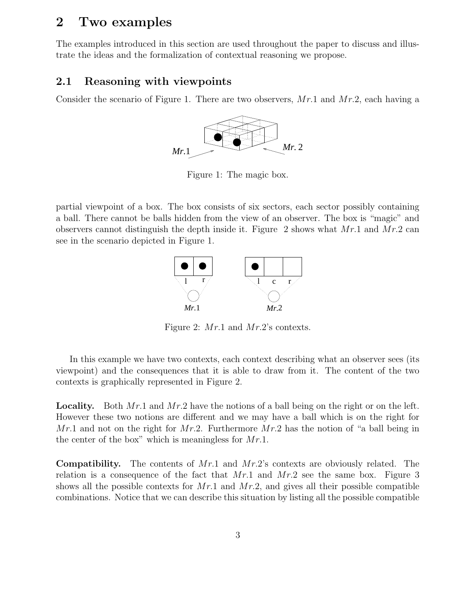### 2 Two examples

The examples introduced in this section are used throughout the paper to discuss and illustrate the ideas and the formalization of contextual reasoning we propose.

### 2.1 Reasoning with viewpoints

Consider the scenario of Figure 1. There are two observers,  $Mr.1$  and  $Mr.2$ , each having a



Figure 1: The magic box.

partial viewpoint of a box. The box consists of six sectors, each sector possibly containing a ball. There cannot be balls hidden from the view of an observer. The box is "magic" and observers cannot distinguish the depth inside it. Figure 2 shows what  $Mr.1$  and  $Mr.2$  can see in the scenario depicted in Figure 1.



Figure 2: Mr.1 and Mr.2's contexts.

In this example we have two contexts, each context describing what an observer sees (its viewpoint) and the consequences that it is able to draw from it. The content of the two contexts is graphically represented in Figure 2.

**Locality.** Both  $Mr.1$  and  $Mr.2$  have the notions of a ball being on the right or on the left. However these two notions are different and we may have a ball which is on the right for Mr.1 and not on the right for Mr.2. Furthermore  $Mr.2$  has the notion of "a ball being in the center of the box" which is meaningless for  $Mr.1$ .

**Compatibility.** The contents of  $Mr.1$  and  $Mr.2$ 's contexts are obviously related. The relation is a consequence of the fact that  $Mr.1$  and  $Mr.2$  see the same box. Figure 3 shows all the possible contexts for  $Mr.1$  and  $Mr.2$ , and gives all their possible compatible combinations. Notice that we can describe this situation by listing all the possible compatible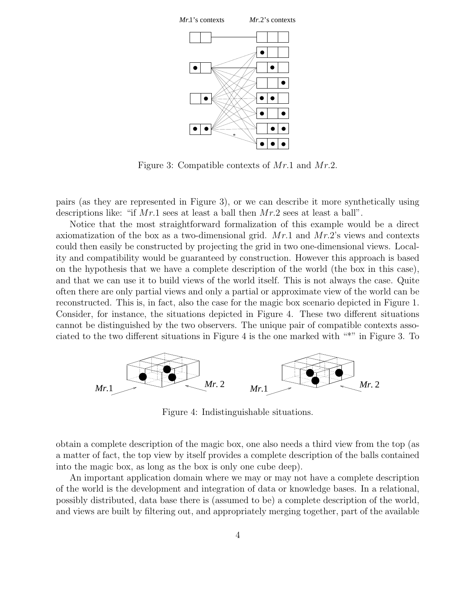

Figure 3: Compatible contexts of Mr.1 and Mr.2.

pairs (as they are represented in Figure 3), or we can describe it more synthetically using descriptions like: "if  $Mr.1$  sees at least a ball then  $Mr.2$  sees at least a ball".

Notice that the most straightforward formalization of this example would be a direct axiomatization of the box as a two-dimensional grid.  $Mr.1$  and  $Mr.2$ 's views and contexts could then easily be constructed by projecting the grid in two one-dimensional views. Locality and compatibility would be guaranteed by construction. However this approach is based on the hypothesis that we have a complete description of the world (the box in this case), and that we can use it to build views of the world itself. This is not always the case. Quite often there are only partial views and only a partial or approximate view of the world can be reconstructed. This is, in fact, also the case for the magic box scenario depicted in Figure 1. Consider, for instance, the situations depicted in Figure 4. These two different situations cannot be distinguished by the two observers. The unique pair of compatible contexts associated to the two different situations in Figure 4 is the one marked with "\*" in Figure 3. To



Figure 4: Indistinguishable situations.

obtain a complete description of the magic box, one also needs a third view from the top (as a matter of fact, the top view by itself provides a complete description of the balls contained into the magic box, as long as the box is only one cube deep).

An important application domain where we may or may not have a complete description of the world is the development and integration of data or knowledge bases. In a relational, possibly distributed, data base there is (assumed to be) a complete description of the world, and views are built by filtering out, and appropriately merging together, part of the available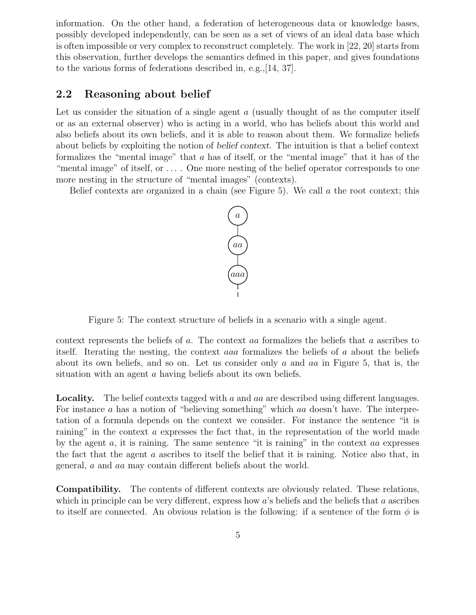information. On the other hand, a federation of heterogeneous data or knowledge bases, possibly developed independently, can be seen as a set of views of an ideal data base which is often impossible or very complex to reconstruct completely. The work in [22, 20] starts from this observation, further develops the semantics defined in this paper, and gives foundations to the various forms of federations described in, e.g.,[14, 37].

### 2.2 Reasoning about belief

Let us consider the situation of a single agent  $a$  (usually thought of as the computer itself or as an external observer) who is acting in a world, who has beliefs about this world and also beliefs about its own beliefs, and it is able to reason about them. We formalize beliefs about beliefs by exploiting the notion of belief context. The intuition is that a belief context formalizes the "mental image" that a has of itself, or the "mental image" that it has of the "mental image" of itself, or . . . . One more nesting of the belief operator corresponds to one more nesting in the structure of "mental images" (contexts).

Belief contexts are organized in a chain (see Figure 5). We call  $a$  the root context; this



Figure 5: The context structure of beliefs in a scenario with a single agent.

context represents the beliefs of a. The context aa formalizes the beliefs that a ascribes to itself. Iterating the nesting, the context aaa formalizes the beliefs of a about the beliefs about its own beliefs, and so on. Let us consider only a and aa in Figure 5, that is, the situation with an agent a having beliefs about its own beliefs.

Locality. The belief contexts tagged with a and aa are described using different languages. For instance a has a notion of "believing something" which aa doesn't have. The interpretation of a formula depends on the context we consider. For instance the sentence "it is raining" in the context a expresses the fact that, in the representation of the world made by the agent a, it is raining. The same sentence "it is raining" in the context aa expresses the fact that the agent  $\alpha$  ascribes to itself the belief that it is raining. Notice also that, in general, a and aa may contain different beliefs about the world.

Compatibility. The contents of different contexts are obviously related. These relations, which in principle can be very different, express how  $a$ 's beliefs and the beliefs that a ascribes to itself are connected. An obvious relation is the following: if a sentence of the form  $\phi$  is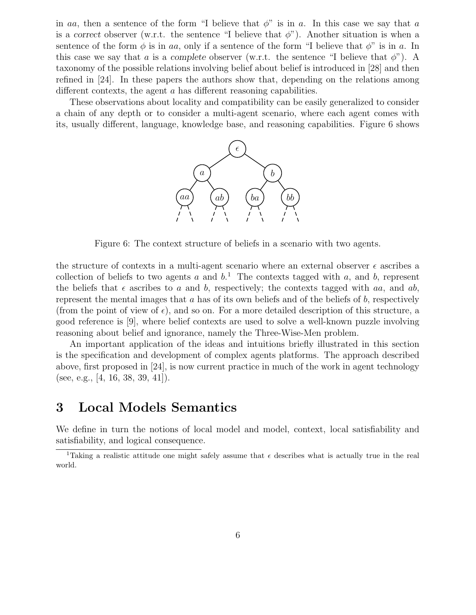in aa, then a sentence of the form "I believe that  $\phi$ " is in a. In this case we say that a is a correct observer (w.r.t. the sentence "I believe that  $\phi$ "). Another situation is when a sentence of the form  $\phi$  is in aa, only if a sentence of the form "I believe that  $\phi$ " is in a. In this case we say that a is a complete observer (w.r.t. the sentence "I believe that  $\phi$ "). A taxonomy of the possible relations involving belief about belief is introduced in [28] and then refined in [24]. In these papers the authors show that, depending on the relations among different contexts, the agent a has different reasoning capabilities.

These observations about locality and compatibility can be easily generalized to consider a chain of any depth or to consider a multi-agent scenario, where each agent comes with its, usually different, language, knowledge base, and reasoning capabilities. Figure 6 shows



Figure 6: The context structure of beliefs in a scenario with two agents.

the structure of contexts in a multi-agent scenario where an external observer  $\epsilon$  ascribes a collection of beliefs to two agents a and  $b$ <sup>1</sup>. The contexts tagged with a, and b, represent the beliefs that  $\epsilon$  ascribes to a and b, respectively; the contexts tagged with aa, and ab, represent the mental images that  $a$  has of its own beliefs and of the beliefs of  $b$ , respectively (from the point of view of  $\epsilon$ ), and so on. For a more detailed description of this structure, a good reference is [9], where belief contexts are used to solve a well-known puzzle involving reasoning about belief and ignorance, namely the Three-Wise-Men problem.

An important application of the ideas and intuitions briefly illustrated in this section is the specification and development of complex agents platforms. The approach described above, first proposed in [24], is now current practice in much of the work in agent technology (see, e.g., [4, 16, 38, 39, 41]).

### 3 Local Models Semantics

We define in turn the notions of local model and model, context, local satisfiability and satisfiability, and logical consequence.

<sup>&</sup>lt;sup>1</sup>Taking a realistic attitude one might safely assume that  $\epsilon$  describes what is actually true in the real world.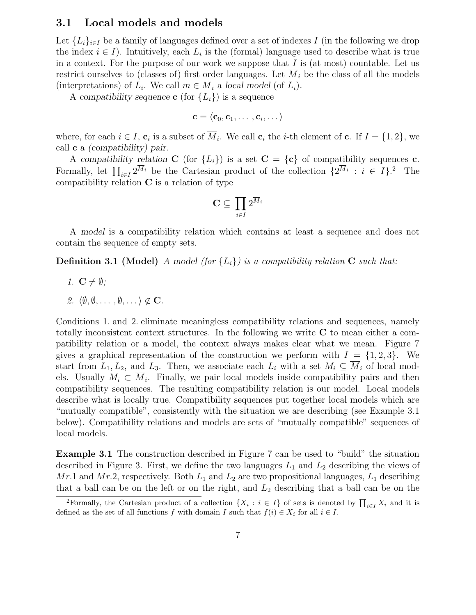### 3.1 Local models and models

Let  ${L_i}_{i\in I}$  be a family of languages defined over a set of indexes I (in the following we drop the index  $i \in I$ ). Intuitively, each  $L_i$  is the (formal) language used to describe what is true in a context. For the purpose of our work we suppose that  $I$  is (at most) countable. Let us restrict ourselves to (classes of) first order languages. Let  $M_i$  be the class of all the models (interpretations) of  $L_i$ . We call  $m \in M_i$  a local model (of  $L_i$ ).

A compatibility sequence **c** (for  $\{L_i\}$ ) is a sequence

$$
\mathbf{c} = \langle \mathbf{c}_0, \mathbf{c}_1, \dots, \mathbf{c}_i, \dots \rangle
$$

where, for each  $i \in I$ ,  $\mathbf{c}_i$  is a subset of  $M_i$ . We call  $\mathbf{c}_i$  the *i*-th element of  $\mathbf{c}$ . If  $I = \{1, 2\}$ , we call c a (compatibility) pair.

A compatibility relation C (for  ${L_i}$ ) is a set  $C = {c}$  of compatibility sequences c. Formally, let  $\prod_{i\in I} 2^{\overline{M}_i}$  be the Cartesian product of the collection  $\{2^{\overline{M}_i} : i \in I\}$ .<sup>2</sup> The compatibility relation  $C$  is a relation of type

$$
\mathbf{C} \subseteq \prod_{i \in I} 2^{\overline{M}_i}
$$

A model is a compatibility relation which contains at least a sequence and does not contain the sequence of empty sets.

**Definition 3.1 (Model)** A model (for  $\{L_i\}$ ) is a compatibility relation C such that:

- 1.  $\mathbf{C} \neq \emptyset$ ;
- 2.  $\langle \emptyset, \emptyset, \ldots, \emptyset, \ldots \rangle \notin \mathbf{C}$ .

Conditions 1. and 2. eliminate meaningless compatibility relations and sequences, namely totally inconsistent context structures. In the following we write C to mean either a compatibility relation or a model, the context always makes clear what we mean. Figure 7 gives a graphical representation of the construction we perform with  $I = \{1, 2, 3\}$ . We start from  $L_1, L_2$ , and  $L_3$ . Then, we associate each  $L_i$  with a set  $M_i \subseteq \overline{M}_i$  of local models. Usually  $M_i \subset M_i$ . Finally, we pair local models inside compatibility pairs and then compatibility sequences. The resulting compatibility relation is our model. Local models describe what is locally true. Compatibility sequences put together local models which are "mutually compatible", consistently with the situation we are describing (see Example 3.1 below). Compatibility relations and models are sets of "mutually compatible" sequences of local models.

Example 3.1 The construction described in Figure 7 can be used to "build" the situation described in Figure 3. First, we define the two languages  $L_1$  and  $L_2$  describing the views of Mr.1 and Mr.2, respectively. Both  $L_1$  and  $L_2$  are two propositional languages,  $L_1$  describing that a ball can be on the left or on the right, and  $L_2$  describing that a ball can be on the

<sup>&</sup>lt;sup>2</sup>Formally, the Cartesian product of a collection  $\{X_i : i \in I\}$  of sets is denoted by  $\prod_{i \in I} X_i$  and it is defined as the set of all functions f with domain I such that  $f(i) \in X_i$  for all  $i \in I$ .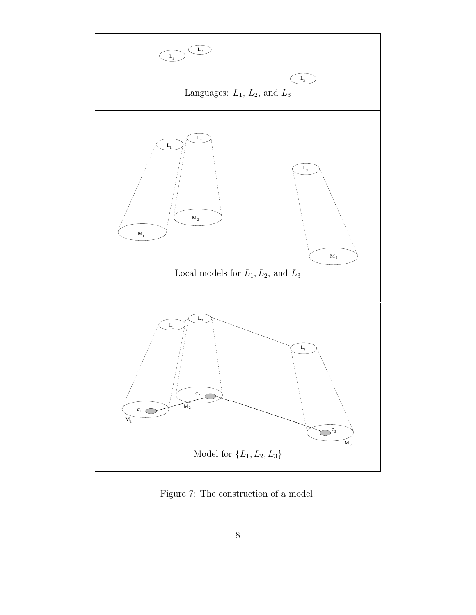

Figure 7: The construction of a model.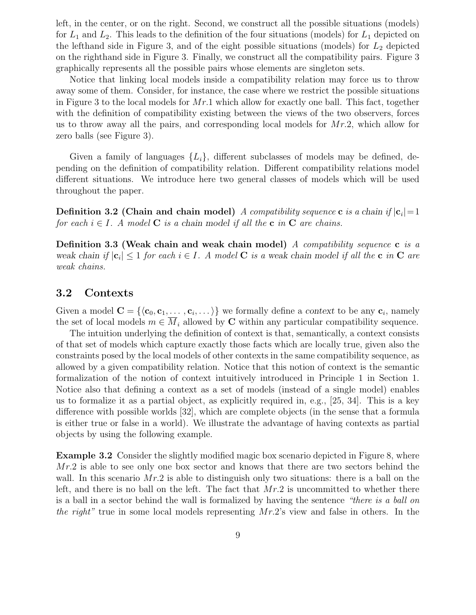left, in the center, or on the right. Second, we construct all the possible situations (models) for  $L_1$  and  $L_2$ . This leads to the definition of the four situations (models) for  $L_1$  depicted on the lefthand side in Figure 3, and of the eight possible situations (models) for  $L_2$  depicted on the righthand side in Figure 3. Finally, we construct all the compatibility pairs. Figure 3 graphically represents all the possible pairs whose elements are singleton sets.

Notice that linking local models inside a compatibility relation may force us to throw away some of them. Consider, for instance, the case where we restrict the possible situations in Figure 3 to the local models for  $Mr.1$  which allow for exactly one ball. This fact, together with the definition of compatibility existing between the views of the two observers, forces us to throw away all the pairs, and corresponding local models for  $Mr.2$ , which allow for zero balls (see Figure 3).

Given a family of languages  $\{L_i\}$ , different subclasses of models may be defined, depending on the definition of compatibility relation. Different compatibility relations model different situations. We introduce here two general classes of models which will be used throughout the paper.

Definition 3.2 (Chain and chain model) A compatibility sequence c is a chain if  $|c_i|=1$ for each  $i \in I$ . A model **C** is a chain model if all the **c** in **C** are chains.

**Definition 3.3 (Weak chain and weak chain model)** A compatibility sequence c is a weak chain if  $|c_i| \leq 1$  for each  $i \in I$ . A model  $C$  is a weak chain model if all the c in C are weak chains.

### 3.2 Contexts

Given a model  $\mathbf{C} = \{ \langle \mathbf{c}_0, \mathbf{c}_1, \dots, \mathbf{c}_i, \dots \rangle \}$  we formally define a context to be any  $\mathbf{c}_i$ , namely the set of local models  $m \in M_i$  allowed by **C** within any particular compatibility sequence.

The intuition underlying the definition of context is that, semantically, a context consists of that set of models which capture exactly those facts which are locally true, given also the constraints posed by the local models of other contexts in the same compatibility sequence, as allowed by a given compatibility relation. Notice that this notion of context is the semantic formalization of the notion of context intuitively introduced in Principle 1 in Section 1. Notice also that defining a context as a set of models (instead of a single model) enables us to formalize it as a partial object, as explicitly required in, e.g., [25, 34]. This is a key difference with possible worlds [32], which are complete objects (in the sense that a formula is either true or false in a world). We illustrate the advantage of having contexts as partial objects by using the following example.

Example 3.2 Consider the slightly modified magic box scenario depicted in Figure 8, where  $Mr.2$  is able to see only one box sector and knows that there are two sectors behind the wall. In this scenario  $Mr.2$  is able to distinguish only two situations: there is a ball on the left, and there is no ball on the left. The fact that  $Mr.2$  is uncommitted to whether there is a ball in a sector behind the wall is formalized by having the sentence "there is a ball on the right" true in some local models representing  $Mr.2$ 's view and false in others. In the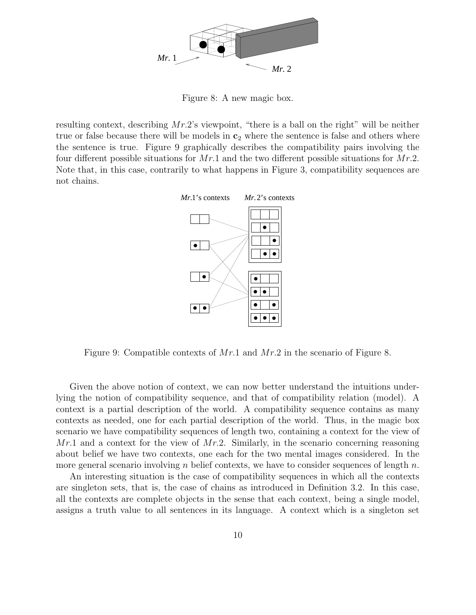

Figure 8: A new magic box.

resulting context, describing  $Mr.2$ 's viewpoint, "there is a ball on the right" will be neither true or false because there will be models in  $c_2$  where the sentence is false and others where the sentence is true. Figure 9 graphically describes the compatibility pairs involving the four different possible situations for  $Mr.1$  and the two different possible situations for  $Mr.2$ . Note that, in this case, contrarily to what happens in Figure 3, compatibility sequences are not chains.



Figure 9: Compatible contexts of  $Mr.1$  and  $Mr.2$  in the scenario of Figure 8.

Given the above notion of context, we can now better understand the intuitions underlying the notion of compatibility sequence, and that of compatibility relation (model). A context is a partial description of the world. A compatibility sequence contains as many contexts as needed, one for each partial description of the world. Thus, in the magic box scenario we have compatibility sequences of length two, containing a context for the view of  $Mr.1$  and a context for the view of  $Mr.2$ . Similarly, in the scenario concerning reasoning about belief we have two contexts, one each for the two mental images considered. In the more general scenario involving n belief contexts, we have to consider sequences of length  $n$ .

An interesting situation is the case of compatibility sequences in which all the contexts are singleton sets, that is, the case of chains as introduced in Definition 3.2. In this case, all the contexts are complete objects in the sense that each context, being a single model, assigns a truth value to all sentences in its language. A context which is a singleton set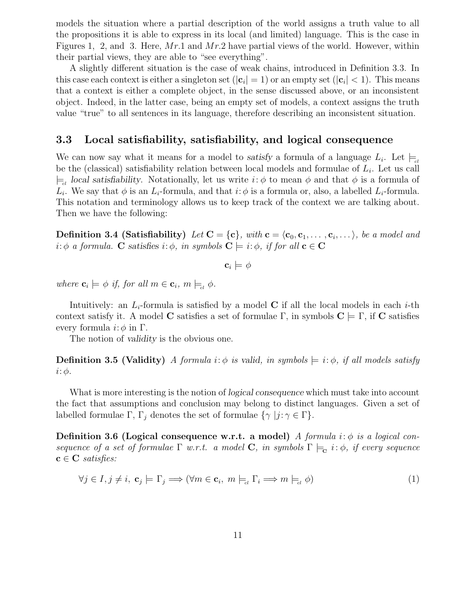models the situation where a partial description of the world assigns a truth value to all the propositions it is able to express in its local (and limited) language. This is the case in Figures 1, 2, and 3. Here,  $Mr.1$  and  $Mr.2$  have partial views of the world. However, within their partial views, they are able to "see everything".

A slightly different situation is the case of weak chains, introduced in Definition 3.3. In this case each context is either a singleton set  $(|c_i| = 1)$  or an empty set  $(|c_i| < 1)$ . This means that a context is either a complete object, in the sense discussed above, or an inconsistent object. Indeed, in the latter case, being an empty set of models, a context assigns the truth value "true" to all sentences in its language, therefore describing an inconsistent situation.

#### 3.3 Local satisfiability, satisfiability, and logical consequence

We can now say what it means for a model to satisfy a formula of a language  $L_i$ . Let  $\models_d$ be the (classical) satisfiability relation between local models and formulae of  $L_i$ . Let us call  $\models_{\alpha}$  local satisfiability. Notationally, let us write  $i:\phi$  to mean  $\phi$  and that  $\phi$  is a formula of  $L_i$ . We say that  $\phi$  is an  $L_i$ -formula, and that  $i: \phi$  is a formula or, also, a labelled  $L_i$ -formula. This notation and terminology allows us to keep track of the context we are talking about. Then we have the following:

**Definition 3.4 (Satisfiability)** Let  $C = \{c\}$ , with  $c = \langle c_0, c_1, \ldots, c_i, \ldots \rangle$ , be a model and  $i: \phi$  a formula. C satisfies  $i: \phi$ , in symbols  $C \models i: \phi$ , if for all  $c \in C$ 

 $\mathbf{c}_i \models \phi$ 

where  $\mathbf{c}_i \models \phi$  if, for all  $m \in \mathbf{c}_i$ ,  $m \models_{cl} \phi$ .

Intuitively: an  $L_i$ -formula is satisfied by a model C if all the local models in each i-th context satisfy it. A model C satisfies a set of formulae Γ, in symbols  $C \models \Gamma$ , if C satisfies every formula  $i: \phi$  in  $\Gamma$ .

The notion of *validity* is the obvious one.

**Definition 3.5 (Validity)** A formula i:  $\phi$  is valid, in symbols  $\models i:\phi$ , if all models satisfy  $i$ :  $\phi$ .

What is more interesting is the notion of *logical consequence* which must take into account the fact that assumptions and conclusion may belong to distinct languages. Given a set of labelled formulae Γ, Γ<sub>j</sub> denotes the set of formulae  $\{\gamma \mid j : \gamma \in \Gamma\}$ .

**Definition 3.6 (Logical consequence w.r.t. a model)** A formula i:  $\phi$  is a logical consequence of a set of formulae  $\Gamma$  w.r.t. a model **C**, in symbols  $\Gamma \models_c i : \phi$ , if every sequence  $c \in \mathbb{C}$  satisfies:

$$
\forall j \in I, j \neq i, \ \mathbf{c}_j \models \Gamma_j \Longrightarrow (\forall m \in \mathbf{c}_i, \ m \models_{\scriptscriptstyle cl} \Gamma_i \Longrightarrow m \models_{\scriptscriptstyle cl} \phi) \tag{1}
$$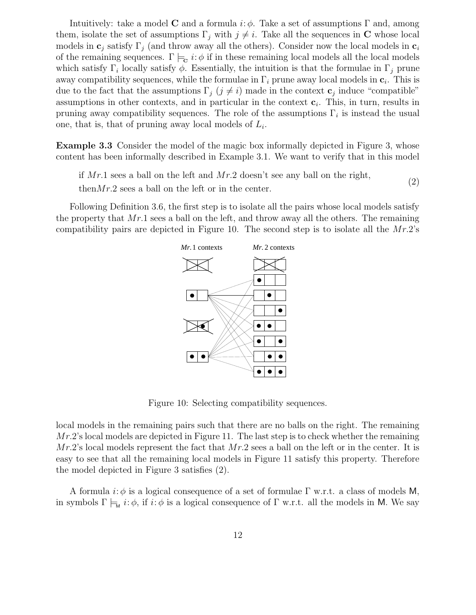Intuitively: take a model C and a formula i:  $\phi$ . Take a set of assumptions  $\Gamma$  and, among them, isolate the set of assumptions  $\Gamma_j$  with  $j \neq i$ . Take all the sequences in C whose local models in  $\mathbf{c}_j$  satisfy  $\Gamma_j$  (and throw away all the others). Consider now the local models in  $\mathbf{c}_i$ of the remaining sequences.  $\Gamma \models_c i : \phi$  if in these remaining local models all the local models which satisfy  $\Gamma_i$  locally satisfy  $\phi$ . Essentially, the intuition is that the formulae in  $\Gamma_j$  prune away compatibility sequences, while the formulae in  $\Gamma_i$  prune away local models in  $\mathbf{c}_i$ . This is due to the fact that the assumptions  $\Gamma_j$   $(j \neq i)$  made in the context  $\mathbf{c}_j$  induce "compatible" assumptions in other contexts, and in particular in the context  $c_i$ . This, in turn, results in pruning away compatibility sequences. The role of the assumptions  $\Gamma_i$  is instead the usual one, that is, that of pruning away local models of  $L_i$ .

Example 3.3 Consider the model of the magic box informally depicted in Figure 3, whose content has been informally described in Example 3.1. We want to verify that in this model

if  $Mr.1$  sees a ball on the left and  $Mr.2$  doesn't see any ball on the right, (2)

then  $Mr.2$  sees a ball on the left or in the center.

Following Definition 3.6, the first step is to isolate all the pairs whose local models satisfy the property that  $Mr.1$  sees a ball on the left, and throw away all the others. The remaining compatibility pairs are depicted in Figure 10. The second step is to isolate all the  $Mr.2$ 's



Figure 10: Selecting compatibility sequences.

local models in the remaining pairs such that there are no balls on the right. The remaining  $Mr.2$ 's local models are depicted in Figure 11. The last step is to check whether the remaining  $Mr.2$ 's local models represent the fact that  $Mr.2$  sees a ball on the left or in the center. It is easy to see that all the remaining local models in Figure 11 satisfy this property. Therefore the model depicted in Figure 3 satisfies (2).

A formula  $i:\phi$  is a logical consequence of a set of formulae  $\Gamma$  w.r.t. a class of models M, in symbols  $\Gamma \models_M i: \phi$ , if  $i: \phi$  is a logical consequence of  $\Gamma$  w.r.t. all the models in M. We say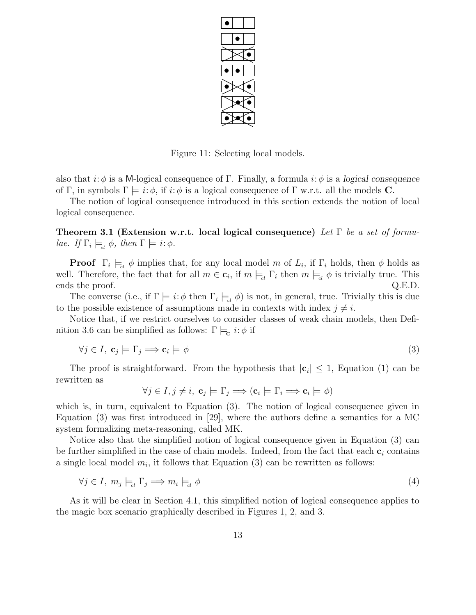

Figure 11: Selecting local models.

also that  $i: \phi$  is a M-logical consequence of Γ. Finally, a formula  $i: \phi$  is a logical consequence of Γ, in symbols  $\Gamma \models i:\phi$ , if  $i:\phi$  is a logical consequence of Γ w.r.t. all the models **C**.

The notion of logical consequence introduced in this section extends the notion of local logical consequence.

Theorem 3.1 (Extension w.r.t. local logical consequence) Let  $\Gamma$  be a set of formulae. If  $\Gamma_i \models_{\scriptscriptstyle \text{cl}} \phi$ , then  $\Gamma \models i : \phi$ .

**Proof**  $\Gamma_i \models_d \phi$  implies that, for any local model m of  $L_i$ , if  $\Gamma_i$  holds, then  $\phi$  holds as well. Therefore, the fact that for all  $m \in \mathbf{c}_i$ , if  $m \models_{cl} \Gamma_i$  then  $m \models_{cl} \phi$  is trivially true. This ends the proof.  $Q.E.D.$ 

The converse (i.e., if  $\Gamma \models i : \phi$  then  $\Gamma_i \models_d \phi$ ) is not, in general, true. Trivially this is due to the possible existence of assumptions made in contexts with index  $j \neq i$ .

Notice that, if we restrict ourselves to consider classes of weak chain models, then Definition 3.6 can be simplified as follows:  $\Gamma \models_c i : \phi$  if

$$
\forall j \in I, \ \mathbf{c}_j \models \Gamma_j \Longrightarrow \mathbf{c}_i \models \phi \tag{3}
$$

The proof is straightforward. From the hypothesis that  $|\mathbf{c}_i| \leq 1$ , Equation (1) can be rewritten as

$$
\forall j \in I, j \neq i, \mathbf{c}_j \models \Gamma_j \Longrightarrow (\mathbf{c}_i \models \Gamma_i \Longrightarrow \mathbf{c}_i \models \phi)
$$

which is, in turn, equivalent to Equation (3). The notion of logical consequence given in Equation (3) was first introduced in [29], where the authors define a semantics for a MC system formalizing meta-reasoning, called MK.

Notice also that the simplified notion of logical consequence given in Equation (3) can be further simplified in the case of chain models. Indeed, from the fact that each  $c_i$  contains a single local model  $m_i$ , it follows that Equation (3) can be rewritten as follows:

$$
\forall j \in I, \ m_j \models_{\text{cl}} \Gamma_j \Longrightarrow m_i \models_{\text{cl}} \phi \tag{4}
$$

As it will be clear in Section 4.1, this simplified notion of logical consequence applies to the magic box scenario graphically described in Figures 1, 2, and 3.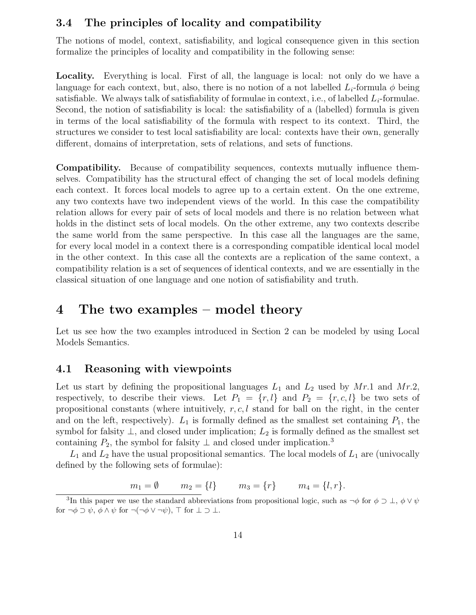### 3.4 The principles of locality and compatibility

The notions of model, context, satisfiability, and logical consequence given in this section formalize the principles of locality and compatibility in the following sense:

Locality. Everything is local. First of all, the language is local: not only do we have a language for each context, but, also, there is no notion of a not labelled  $L_i$ -formula  $\phi$  being satisfiable. We always talk of satisfiability of formulae in context, i.e., of labelled  $L_i$ -formulae. Second, the notion of satisfiability is local: the satisfiability of a (labelled) formula is given in terms of the local satisfiability of the formula with respect to its context. Third, the structures we consider to test local satisfiability are local: contexts have their own, generally different, domains of interpretation, sets of relations, and sets of functions.

Compatibility. Because of compatibility sequences, contexts mutually influence themselves. Compatibility has the structural effect of changing the set of local models defining each context. It forces local models to agree up to a certain extent. On the one extreme, any two contexts have two independent views of the world. In this case the compatibility relation allows for every pair of sets of local models and there is no relation between what holds in the distinct sets of local models. On the other extreme, any two contexts describe the same world from the same perspective. In this case all the languages are the same, for every local model in a context there is a corresponding compatible identical local model in the other context. In this case all the contexts are a replication of the same context, a compatibility relation is a set of sequences of identical contexts, and we are essentially in the classical situation of one language and one notion of satisfiability and truth.

### 4 The two examples – model theory

Let us see how the two examples introduced in Section 2 can be modeled by using Local Models Semantics.

### 4.1 Reasoning with viewpoints

Let us start by defining the propositional languages  $L_1$  and  $L_2$  used by  $Mr.1$  and  $Mr.2$ , respectively, to describe their views. Let  $P_1 = \{r, l\}$  and  $P_2 = \{r, c, l\}$  be two sets of propositional constants (where intuitively,  $r, c, l$  stand for ball on the right, in the center and on the left, respectively).  $L_1$  is formally defined as the smallest set containing  $P_1$ , the symbol for falsity  $\perp$ , and closed under implication;  $L_2$  is formally defined as the smallest set containing  $P_2$ , the symbol for falsity  $\perp$  and closed under implication.<sup>3</sup>

 $L_1$  and  $L_2$  have the usual propositional semantics. The local models of  $L_1$  are (univocally defined by the following sets of formulae):

$$
m_1 = \emptyset
$$
  $m_2 = \{l\}$   $m_3 = \{r\}$   $m_4 = \{l, r\}.$ 

<sup>&</sup>lt;sup>3</sup>In this paper we use the standard abbreviations from propositional logic, such as  $\neg \phi$  for  $\phi \supset \bot$ ,  $\phi \vee \psi$ for  $\neg \phi \supset \psi$ ,  $\phi \wedge \psi$  for  $\neg (\neg \phi \vee \neg \psi)$ ,  $\top$  for  $\bot \supset \bot$ .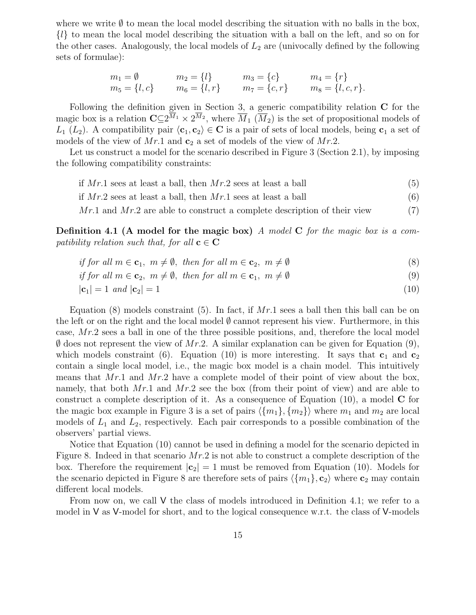where we write  $\emptyset$  to mean the local model describing the situation with no balls in the box, {l} to mean the local model describing the situation with a ball on the left, and so on for the other cases. Analogously, the local models of  $L_2$  are (univocally defined by the following sets of formulae):

$$
m_1 = \emptyset
$$
  $m_2 = \{l\}$   $m_3 = \{c\}$   $m_4 = \{r\}$   
\n $m_5 = \{l, c\}$   $m_6 = \{l, r\}$   $m_7 = \{c, r\}$   $m_8 = \{l, c, r\}.$ 

Following the definition given in Section 3, a generic compatibility relation  $C$  for the magic box is a relation  $\mathbf{C} \subseteq 2^{M_1} \times 2^{M_2}$ , where  $\overline{M}_1$   $(\overline{M}_2)$  is the set of propositional models of  $L_1$  ( $L_2$ ). A compatibility pair  $\langle c_1, c_2 \rangle \in \mathbb{C}$  is a pair of sets of local models, being  $c_1$  a set of models of the view of  $Mr.1$  and  $c_2$  a set of models of the view of  $Mr.2$ .

Let us construct a model for the scenario described in Figure 3 (Section 2.1), by imposing the following compatibility constraints:

- if  $Mr.1$  sees at least a ball, then  $Mr.2$  sees at least a ball  $(5)$
- if  $Mr.2$  sees at least a ball, then  $Mr.1$  sees at least a ball  $(6)$

 $Mr.1$  and  $Mr.2$  are able to construct a complete description of their view (7)

**Definition 4.1** (A model for the magic box) A model C for the magic box is a compatibility relation such that, for all  $c \in C$ 

- if for all  $m \in \mathbf{c}_1$ ,  $m \neq \emptyset$ , then for all  $m \in \mathbf{c}_2$ ,  $m \neq \emptyset$  (8)
- if for all  $m \in \mathbf{c}_2$ ,  $m \neq \emptyset$ , then for all  $m \in \mathbf{c}_1$ ,  $m \neq \emptyset$  (9)
- $|\mathbf{c}_1| = 1$  and  $|\mathbf{c}_2| = 1$  (10)

Equation (8) models constraint (5). In fact, if  $Mr.1$  sees a ball then this ball can be on the left or on the right and the local model  $\emptyset$  cannot represent his view. Furthermore, in this case, Mr.2 sees a ball in one of the three possible positions, and, therefore the local model  $\emptyset$  does not represent the view of Mr.2. A similar explanation can be given for Equation (9), which models constraint (6). Equation (10) is more interesting. It says that  $c_1$  and  $c_2$ contain a single local model, i.e., the magic box model is a chain model. This intuitively means that  $Mr.1$  and  $Mr.2$  have a complete model of their point of view about the box, namely, that both  $Mr.1$  and  $Mr.2$  see the box (from their point of view) and are able to construct a complete description of it. As a consequence of Equation  $(10)$ , a model C for the magic box example in Figure 3 is a set of pairs  $\langle \{m_1\}, \{m_2\} \rangle$  where  $m_1$  and  $m_2$  are local models of  $L_1$  and  $L_2$ , respectively. Each pair corresponds to a possible combination of the observers' partial views.

Notice that Equation (10) cannot be used in defining a model for the scenario depicted in Figure 8. Indeed in that scenario  $Mr.2$  is not able to construct a complete description of the box. Therefore the requirement  $|c_2| = 1$  must be removed from Equation (10). Models for the scenario depicted in Figure 8 are therefore sets of pairs  $\langle \{m_1\}, \mathbf{c}_2 \rangle$  where  $\mathbf{c}_2$  may contain different local models.

From now on, we call V the class of models introduced in Definition 4.1; we refer to a model in V as V-model for short, and to the logical consequence w.r.t. the class of V-models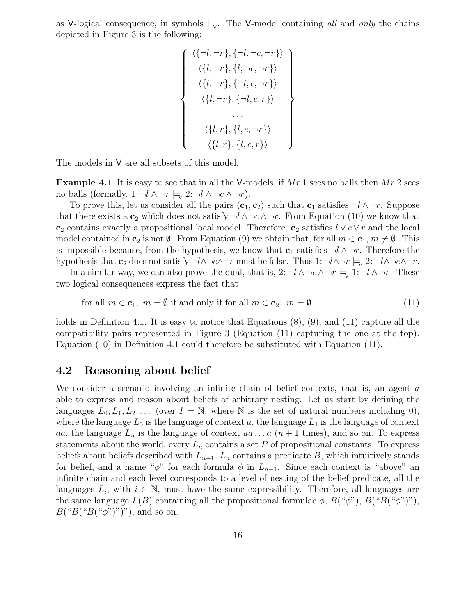as V-logical consequence, in symbols  $\models_{\mathbf{v}}$ . The V-model containing all and only the chains depicted in Figure 3 is the following:

$$
\left\{\n\begin{array}{c}\n\langle \{-l, \neg r\}, \{-l, \neg c, \neg r\} \rangle \\
\langle \{l, \neg r\}, \{l, \neg c, \neg r\} \rangle \\
\langle \{l, \neg r\}, \{-l, c, \neg r\} \rangle \\
\langle \{l, \neg r\}, \{-l, c, r\} \rangle \\
\langle \{l, \neg r\}, \{-l, c, r\} \rangle \\
\ldots \\
\langle \{l, r\}, \{l, c, \neg r\} \rangle \\
\langle \{l, r\}, \{l, c, r\} \rangle\n\end{array}\n\right\}
$$

The models in  $V$  are all subsets of this model.

**Example 4.1** It is easy to see that in all the V-models, if  $Mr.1$  sees no balls then  $Mr.2$  sees no balls (formally,  $1: \neg l \wedge \neg r \models_{\vee} 2: \neg l \wedge \neg c \wedge \neg r$ ).

To prove this, let us consider all the pairs  $\langle c_1, c_2 \rangle$  such that  $c_1$  satisfies  $\neg l \land \neg r$ . Suppose that there exists a  $c_2$  which does not satisfy  $\neg l \land \neg c \land \neg r$ . From Equation (10) we know that  $c_2$  contains exactly a propositional local model. Therefore,  $c_2$  satisfies  $l \vee c \vee r$  and the local model contained in  $c_2$  is not  $\emptyset$ . From Equation (9) we obtain that, for all  $m \in c_1$ ,  $m \neq \emptyset$ . This is impossible because, from the hypothesis, we know that  $c_1$  satisfies  $\neg l \wedge \neg r$ . Therefore the hypothesis that  $c_2$  does not satisfy  $\neg l \land \neg c \land \neg r$  must be false. Thus  $1: \neg l \land \neg r \models_{\vee} 2: \neg l \land \neg c \land \neg r$ .

In a similar way, we can also prove the dual, that is,  $2: \neg l \wedge \neg c \wedge \neg r \models_{\forall} 1: \neg l \wedge \neg r$ . These two logical consequences express the fact that

for all 
$$
m \in \mathbf{c}_1
$$
,  $m = \emptyset$  if and only if for all  $m \in \mathbf{c}_2$ ,  $m = \emptyset$  (11)

holds in Definition 4.1. It is easy to notice that Equations  $(8)$ ,  $(9)$ , and  $(11)$  capture all the compatibility pairs represented in Figure 3 (Equation (11) capturing the one at the top). Equation (10) in Definition 4.1 could therefore be substituted with Equation (11).

#### 4.2 Reasoning about belief

We consider a scenario involving an infinite chain of belief contexts, that is, an agent  $\alpha$ able to express and reason about beliefs of arbitrary nesting. Let us start by defining the languages  $L_0, L_1, L_2, \ldots$  (over  $I = \mathbb{N}$ , where  $\mathbb N$  is the set of natural numbers including 0), where the language  $L_0$  is the language of context a, the language  $L_1$  is the language of context aa, the language  $L_n$  is the language of context aa... a  $(n+1$  times), and so on. To express statements about the world, every  $L_n$  contains a set P of propositional constants. To express beliefs about beliefs described with  $L_{n+1}$ ,  $L_n$  contains a predicate B, which intuitively stands for belief, and a name " $\phi$ " for each formula  $\phi$  in  $L_{n+1}$ . Since each context is "above" an infinite chain and each level corresponds to a level of nesting of the belief predicate, all the languages  $L_i$ , with  $i \in \mathbb{N}$ , must have the same expressibility. Therefore, all languages are the same language  $L(B)$  containing all the propositional formulae  $\phi$ ,  $B(\degree\phi^{\prime\prime})$ ,  $B(\degree B(\degree\phi^{\prime\prime})^{\prime\prime})$ ,  $B("B("B("φ")")$ , and so on.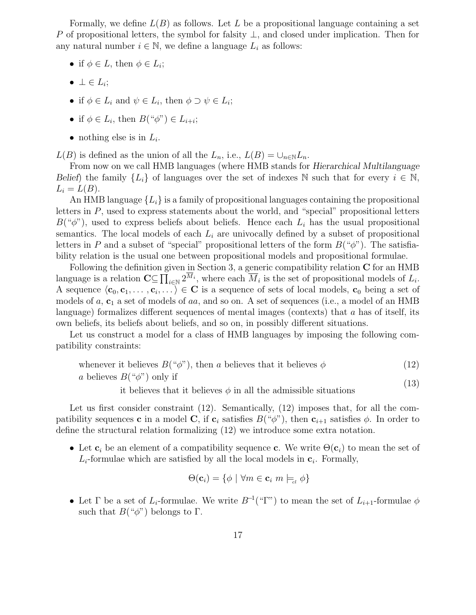Formally, we define  $L(B)$  as follows. Let L be a propositional language containing a set P of propositional letters, the symbol for falsity  $\perp$ , and closed under implication. Then for any natural number  $i \in \mathbb{N}$ , we define a language  $L_i$  as follows:

- if  $\phi \in L$ , then  $\phi \in L_i$ ;
- $\bullet \perp \in L_i;$
- if  $\phi \in L_i$  and  $\psi \in L_i$ , then  $\phi \supset \psi \in L_i$ ;
- if  $\phi \in L_i$ , then  $B({}^\omega \phi'') \in L_{i+i}$ ;
- nothing else is in  $L_i$ .

 $L(B)$  is defined as the union of all the  $L_n$ , i.e.,  $L(B) = \cup_{n \in \mathbb{N}} L_n$ .

From now on we call HMB languages (where HMB stands for Hierarchical Multilanguage Belief) the family  $\{L_i\}$  of languages over the set of indexes N such that for every  $i \in \mathbb{N}$ ,  $L_i = L(B)$ .

An HMB language  $\{L_i\}$  is a family of propositional languages containing the propositional letters in P, used to express statements about the world, and "special" propositional letters  $B(\phi^{\prime\prime})$ , used to express beliefs about beliefs. Hence each  $L_i$  has the usual propositional semantics. The local models of each  $L_i$  are univocally defined by a subset of propositional letters in P and a subset of "special" propositional letters of the form  $B(\psi)$ ". The satisfiability relation is the usual one between propositional models and propositional formulae.

Following the definition given in Section 3, a generic compatibility relation  $C$  for an HMB language is a relation  $\mathbf{C} \subseteq \prod_{i \in \mathbb{N}} 2^{M_i}$ , where each  $\overline{M}_i$  is the set of propositional models of  $L_i$ . A sequence  $\langle c_0, c_1, \ldots, c_i, \ldots \rangle \in \mathbf{C}$  is a sequence of sets of local models,  $c_0$  being a set of models of a,  $c_1$  a set of models of aa, and so on. A set of sequences (i.e., a model of an HMB language) formalizes different sequences of mental images (contexts) that  $a$  has of itself, its own beliefs, its beliefs about beliefs, and so on, in possibly different situations.

Let us construct a model for a class of HMB languages by imposing the following compatibility constraints:

whenever it believes 
$$
B(\lq\phi)
$$
, then *a* believes that it believes  $\phi$  (12)

a believes  $B(\phi)$  only if

it believes that it believes  $\phi$  in all the admissible situations (13)

Let us first consider constraint  $(12)$ . Semantically,  $(12)$  imposes that, for all the compatibility sequences **c** in a model **C**, if **c**<sub>i</sub> satisfies  $B(\psi)$ , then **c**<sub>i+1</sub> satisfies  $\phi$ . In order to define the structural relation formalizing (12) we introduce some extra notation.

• Let  $c_i$  be an element of a compatibility sequence c. We write  $\Theta(c_i)$  to mean the set of  $L_i$ -formulae which are satisfied by all the local models in  $c_i$ . Formally,

$$
\Theta(\mathbf{c}_i) = \{ \phi \mid \forall m \in \mathbf{c}_i \ m \models_{cl} \phi \}
$$

• Let  $\Gamma$  be a set of  $L_i$ -formulae. We write  $B^{-1}$  (" $\Gamma$ ") to mean the set of  $L_{i+1}$ -formulae  $\phi$ such that  $B(\degree\phi\degree)$  belongs to Γ.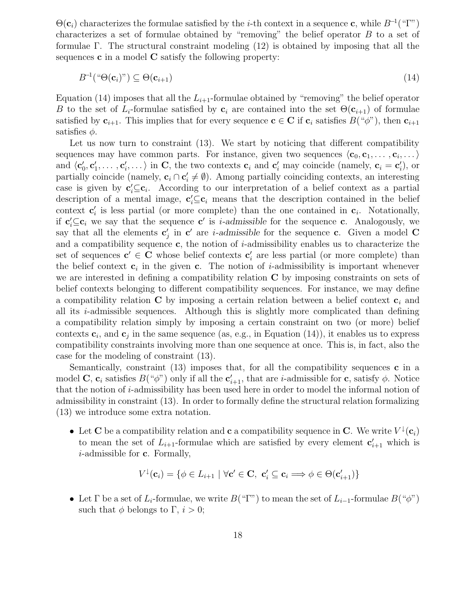$\Theta(\mathbf{c}_i)$  characterizes the formulae satisfied by the *i*-th context in a sequence **c**, while  $B^{-1}$  ("Γ") characterizes a set of formulae obtained by "removing" the belief operator B to a set of formulae Γ. The structural constraint modeling (12) is obtained by imposing that all the sequences  $\bf c$  in a model  $\bf C$  satisfy the following property:

$$
B^{-1}(\text{``}\Theta(\mathbf{c}_i)\text{''}) \subseteq \Theta(\mathbf{c}_{i+1})\tag{14}
$$

Equation (14) imposes that all the  $L_{i+1}$ -formulae obtained by "removing" the belief operator B to the set of  $L_i$ -formulae satisfied by  $c_i$  are contained into the set  $\Theta(c_{i+1})$  of formulae satisfied by  $c_{i+1}$ . This implies that for every sequence  $c \in C$  if  $c_i$  satisfies  $B(\psi)$ , then  $c_{i+1}$ satisfies  $\phi$ .

Let us now turn to constraint (13). We start by noticing that different compatibility sequences may have common parts. For instance, given two sequences  $\langle c_0, c_1, \ldots, c_i, \ldots \rangle$ and  $\langle c'_0, c'_1, \ldots, c'_i, \ldots \rangle$  in C, the two contexts  $c_i$  and  $c'_i$  may coincide (namely,  $c_i = c'_i$ ), or partially coincide (namely,  $c_i \cap c'_i \neq \emptyset$ ). Among partially coinciding contexts, an interesting case is given by  $c_i' \subseteq c_i$ . According to our interpretation of a belief context as a partial description of a mental image,  $\mathbf{c}'_i \subseteq \mathbf{c}_i$  means that the description contained in the belief context  $\mathbf{c}'_i$  is less partial (or more complete) than the one contained in  $\mathbf{c}_i$ . Notationally, if  $c'_i \subseteq c_i$  we say that the sequence  $c'$  is *i*-admissible for the sequence c. Analogously, we say that all the elements  $\mathbf{c}'_j$  in  $\mathbf{c}'$  are *i*-admissible for the sequence **c**. Given a model **C** and a compatibility sequence c, the notion of i-admissibility enables us to characterize the set of sequences  $c' \in C$  whose belief contexts  $c'_i$  are less partial (or more complete) than the belief context  $c_i$  in the given c. The notion of *i*-admissibility is important whenever we are interested in defining a compatibility relation C by imposing constraints on sets of belief contexts belonging to different compatibility sequences. For instance, we may define a compatibility relation C by imposing a certain relation between a belief context  $c_i$  and all its  $i$ -admissible sequences. Although this is slightly more complicated than defining a compatibility relation simply by imposing a certain constraint on two (or more) belief contexts  $\mathbf{c}_i$ , and  $\mathbf{c}_j$  in the same sequence (as, e.g., in Equation (14)), it enables us to express compatibility constraints involving more than one sequence at once. This is, in fact, also the case for the modeling of constraint (13).

Semantically, constraint (13) imposes that, for all the compatibility sequences  $\bf{c}$  in a model **C**,  $c_i$  satisfies  $B(\phi)$  only if all the  $c'_{i+1}$ , that are *i*-admissible for **c**, satisfy  $\phi$ . Notice that the notion of  $i$ -admissibility has been used here in order to model the informal notion of admissibility in constraint (13). In order to formally define the structural relation formalizing (13) we introduce some extra notation.

• Let C be a compatibility relation and c a compatibility sequence in C. We write  $V^{\downarrow}(\mathbf{c}_i)$ to mean the set of  $L_{i+1}$ -formulae which are satisfied by every element  $\mathbf{c}'_{i+1}$  which is  $i$ -admissible for **c**. Formally,

$$
V^{\downarrow}(\mathbf{c}_{i}) = \{ \phi \in L_{i+1} \mid \forall \mathbf{c}' \in \mathbf{C}, \ \mathbf{c}'_{i} \subseteq \mathbf{c}_{i} \Longrightarrow \phi \in \Theta(\mathbf{c}'_{i+1}) \}
$$

• Let  $\Gamma$  be a set of  $L_i$ -formulae, we write  $B("{\Gamma}")$  to mean the set of  $L_{i-1}$ -formulae  $B("{\phi}")$ such that  $\phi$  belongs to  $\Gamma$ ,  $i > 0$ ;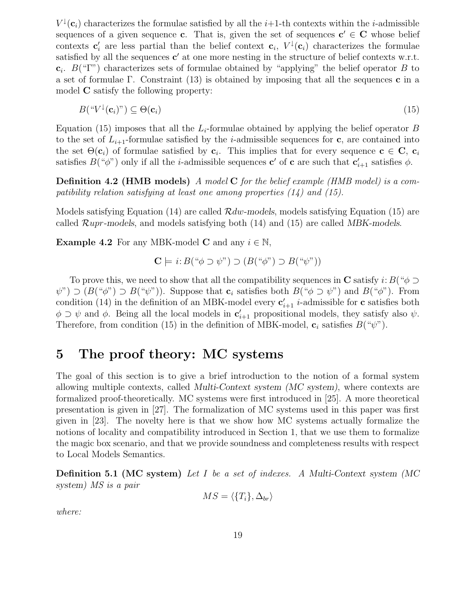$V^{\downarrow}(\mathbf{c}_i)$  characterizes the formulae satisfied by all the *i*+1-th contexts within the *i*-admissible sequences of a given sequence **c**. That is, given the set of sequences  $c' \in C$  whose belief contexts  $\mathbf{c}'_i$  are less partial than the belief context  $\mathbf{c}_i$ ,  $V^{\downarrow}(\mathbf{c}_i)$  characterizes the formulae satisfied by all the sequences  $\mathbf{c}'$  at one more nesting in the structure of belief contexts w.r.t.  $\mathbf{c}_i$ .  $B("Γ")$  characterizes sets of formulae obtained by "applying" the belief operator B to a set of formulae Γ. Constraint (13) is obtained by imposing that all the sequences **c** in a model C satisfy the following property:

$$
B(\text{``}V^{\downarrow}(\mathbf{c}_i)\text{''}) \subseteq \Theta(\mathbf{c}_i) \tag{15}
$$

Equation (15) imposes that all the  $L_i$ -formulae obtained by applying the belief operator B to the set of  $L_{i+1}$ -formulae satisfied by the *i*-admissible sequences for **c**, are contained into the set  $\Theta(\mathbf{c}_i)$  of formulae satisfied by  $\mathbf{c}_i$ . This implies that for every sequence  $\mathbf{c} \in \mathbf{C}$ ,  $\mathbf{c}_i$ satisfies  $B(\check{\ } \phi$ ") only if all the *i*-admissible sequences **c'** of **c** are such that  $\mathbf{c}'_{i+1}$  satisfies  $\phi$ .

Definition 4.2 (HMB models) A model C for the belief example (HMB model) is a compatibility relation satisfying at least one among properties  $(14)$  and  $(15)$ .

Models satisfying Equation (14) are called  $\mathcal{R}dw$ -models, models satisfying Equation (15) are called  $\mathcal{R}upr$ -models, and models satisfying both (14) and (15) are called MBK-models.

**Example 4.2** For any MBK-model C and any  $i \in \mathbb{N}$ ,

$$
\mathbf{C} \models i : B(\lq \phi \supset \psi \r{}) \supset (B(\lq \phi \r{}) \supset B(\lq \psi \r{}))
$$

To prove this, we need to show that all the compatibility sequences in C satisfy  $i: B(\omega) \supset$  $\psi$ ")  $\supset$   $(B(\psi) \supseteq B(\psi)')$ . Suppose that  $c_i$  satisfies both  $B(\psi \supseteq \psi$ ") and  $B(\psi)$ ". From condition (14) in the definition of an MBK-model every  $\mathbf{c}'_{i+1}$  *i*-admissible for **c** satisfies both  $\phi \supset \psi$  and  $\phi$ . Being all the local models in  $\mathbf{c}'_{i+1}$  propositional models, they satisfy also  $\psi$ . Therefore, from condition (15) in the definition of MBK-model,  $c_i$  satisfies  $B(\sqrt[n]{\psi})$ .

## 5 The proof theory: MC systems

The goal of this section is to give a brief introduction to the notion of a formal system allowing multiple contexts, called Multi-Context system (MC system), where contexts are formalized proof-theoretically. MC systems were first introduced in [25]. A more theoretical presentation is given in [27]. The formalization of MC systems used in this paper was first given in [23]. The novelty here is that we show how MC systems actually formalize the notions of locality and compatibility introduced in Section 1, that we use them to formalize the magic box scenario, and that we provide soundness and completeness results with respect to Local Models Semantics.

Definition 5.1 (MC system) Let I be a set of indexes. A Multi-Context system (MC system) MS is a pair

$$
MS = \langle \{T_i\}, \Delta_{br} \rangle
$$

where: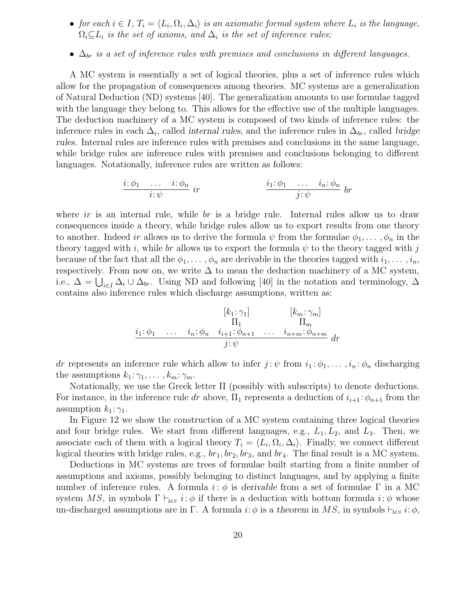- for each  $i \in I$ ,  $T_i = \langle L_i, \Omega_i, \Delta_i \rangle$  is an axiomatic formal system where  $L_i$  is the language,  $\Omega_i \subseteq L_i$  is the set of axioms, and  $\Delta_i$  is the set of inference rules;
- $\Delta_{br}$  is a set of inference rules with premises and conclusions in different languages.

A MC system is essentially a set of logical theories, plus a set of inference rules which allow for the propagation of consequences among theories. MC systems are a generalization of Natural Deduction (ND) systems [40]. The generalization amounts to use formulae tagged with the language they belong to. This allows for the effective use of the multiple languages. The deduction machinery of a MC system is composed of two kinds of inference rules: the inference rules in each  $\Delta_i$ , called internal rules, and the inference rules in  $\Delta_{br}$ , called bridge rules. Internal rules are inference rules with premises and conclusions in the same language, while bridge rules are inference rules with premises and conclusions belonging to different languages. Notationally, inference rules are written as follows:

$$
\frac{i:\phi_1 \quad \ldots \quad i:\phi_n}{i:\psi} \quad ir \qquad \qquad \frac{i_1:\phi_1 \quad \ldots \quad i_n:\phi_n}{j:\psi} \quad br
$$

where ir is an internal rule, while br is a bridge rule. Internal rules allow us to draw consequences inside a theory, while bridge rules allow us to export results from one theory to another. Indeed ir allows us to derive the formula  $\psi$  from the formulae  $\phi_1, \ldots, \phi_n$  in the theory tagged with i, while br allows us to export the formula  $\psi$  to the theory tagged with j because of the fact that all the  $\phi_1, \ldots, \phi_n$  are derivable in the theories tagged with  $i_1, \ldots, i_n$ , respectively. From now on, we write  $\Delta$  to mean the deduction machinery of a MC system, i.e.,  $\Delta = \bigcup_{i \in I} \Delta_i \cup \Delta_{br}$ . Using ND and following [40] in the notation and terminology,  $\Delta$ contains also inference rules which discharge assumptions, written as:

$$
\begin{array}{ccc}\n & [k_1: \gamma_1] & [k_m: \gamma_m] \\
\hline\n\text{II}_1 & \text{II}_m \\
i_1: \phi_1 & \dots & i_n: \phi_n & i_{i+1}: \phi_{n+1} & \dots & i_{n+m}: \phi_{n+m} \\
\hline\nj: \psi & & & \text{if } i \neq m.\n\end{array}
$$

dr represents an inference rule which allow to infer  $j : \psi$  from  $i_1 : \phi_1, \ldots, i_n : \phi_n$  discharging the assumptions  $k_1: \gamma_1, \ldots, k_m: \gamma_m$ .

Notationally, we use the Greek letter Π (possibly with subscripts) to denote deductions. For instance, in the inference rule dr above,  $\Pi_1$  represents a deduction of  $i_{i+1}$ :  $\phi_{n+1}$  from the assumption  $k_1: \gamma_1$ .

In Figure 12 we show the construction of a MC system containing three logical theories and four bridge rules. We start from different languages, e.g.,  $L_1, L_2$ , and  $L_3$ . Then, we associate each of them with a logical theory  $T_i = \langle L_i, \Omega_i, \Delta_i \rangle$ . Finally, we connect different logical theories with bridge rules, e.g.,  $br_1, br_2, br_3$ , and  $br_4$ . The final result is a MC system.

Deductions in MC systems are trees of formulae built starting from a finite number of assumptions and axioms, possibly belonging to distinct languages, and by applying a finite number of inference rules. A formula  $i : \phi$  is derivable from a set of formulae  $\Gamma$  in a MC system MS, in symbols  $\Gamma \vdash_{MS} i: \phi$  if there is a deduction with bottom formula  $i: \phi$  whose un-discharged assumptions are in Γ. A formula  $i: \phi$  is a theorem in MS, in symbols  $\vdash_{MS} i: \phi$ ,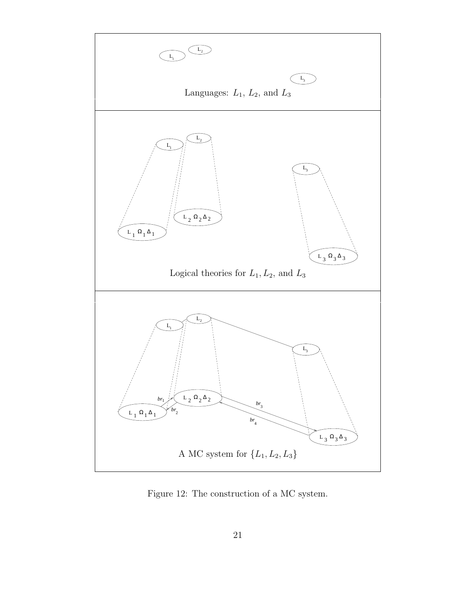

Figure 12: The construction of a MC system.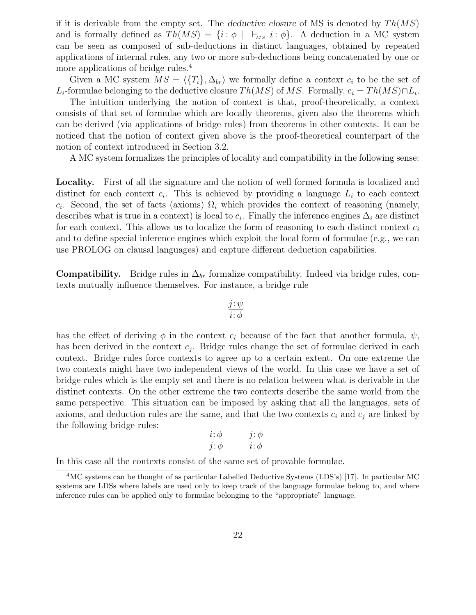if it is derivable from the empty set. The deductive closure of MS is denoted by  $Th(MS)$ and is formally defined as  $Th(MS) = \{i : \phi \mid \vdash_{MS} i : \phi\}$ . A deduction in a MC system can be seen as composed of sub-deductions in distinct languages, obtained by repeated applications of internal rules, any two or more sub-deductions being concatenated by one or more applications of bridge rules.<sup>4</sup>

Given a MC system  $MS = \langle \{T_i\}, \Delta_{br}\rangle$  we formally define a context  $c_i$  to be the set of L<sub>i</sub>-formulae belonging to the deductive closure  $Th(MS)$  of MS. Formally,  $c_i = Th(MS) \cap L_i$ .

The intuition underlying the notion of context is that, proof-theoretically, a context consists of that set of formulae which are locally theorems, given also the theorems which can be derived (via applications of bridge rules) from theorems in other contexts. It can be noticed that the notion of context given above is the proof-theoretical counterpart of the notion of context introduced in Section 3.2.

A MC system formalizes the principles of locality and compatibility in the following sense:

Locality. First of all the signature and the notion of well formed formula is localized and distinct for each context  $c_i$ . This is achieved by providing a language  $L_i$  to each context  $c_i$ . Second, the set of facts (axioms)  $\Omega_i$  which provides the context of reasoning (namely, describes what is true in a context) is local to  $c_i$ . Finally the inference engines  $\Delta_i$  are distinct for each context. This allows us to localize the form of reasoning to each distinct context  $c_i$ and to define special inference engines which exploit the local form of formulae (e.g., we can use PROLOG on clausal languages) and capture different deduction capabilities.

**Compatibility.** Bridge rules in  $\Delta_{br}$  formalize compatibility. Indeed via bridge rules, contexts mutually influence themselves. For instance, a bridge rule

$$
\frac{j:\psi}{i:\phi}
$$

has the effect of deriving  $\phi$  in the context  $c_i$  because of the fact that another formula,  $\psi$ , has been derived in the context  $c_j$ . Bridge rules change the set of formulae derived in each context. Bridge rules force contexts to agree up to a certain extent. On one extreme the two contexts might have two independent views of the world. In this case we have a set of bridge rules which is the empty set and there is no relation between what is derivable in the distinct contexts. On the other extreme the two contexts describe the same world from the same perspective. This situation can be imposed by asking that all the languages, sets of axioms, and deduction rules are the same, and that the two contexts  $c_i$  and  $c_j$  are linked by the following bridge rules:

$$
\frac{i:\phi}{j:\phi} \qquad \frac{j:\phi}{i:\phi}
$$

In this case all the contexts consist of the same set of provable formulae.

<sup>4</sup>MC systems can be thought of as particular Labelled Deductive Systems (LDS's) [17]. In particular MC systems are LDSs where labels are used only to keep track of the language formulae belong to, and where inference rules can be applied only to formulae belonging to the "appropriate" language.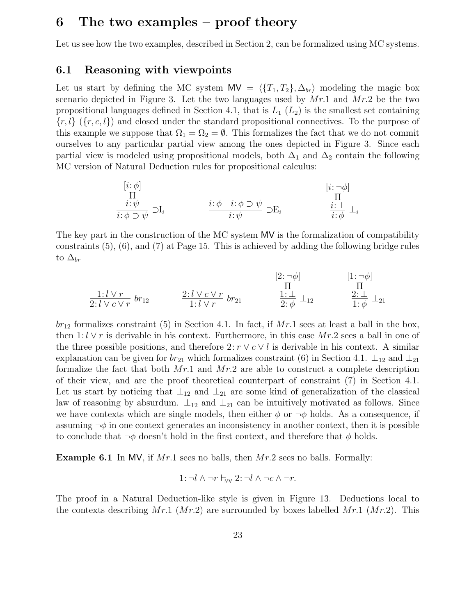### 6 The two examples – proof theory

Let us see how the two examples, described in Section 2, can be formalized using MC systems.

#### 6.1 Reasoning with viewpoints

Let us start by defining the MC system  $MV = \langle \{T_1, T_2\}, \Delta_{br} \rangle$  modeling the magic box scenario depicted in Figure 3. Let the two languages used by  $Mr.1$  and  $Mr.2$  be the two propositional languages defined in Section 4.1, that is  $L_1(L_2)$  is the smallest set containing  ${r, l}$  ( ${r, c, l}$ ) and closed under the standard propositional connectives. To the purpose of this example we suppose that  $\Omega_1 = \Omega_2 = \emptyset$ . This formalizes the fact that we do not commit ourselves to any particular partial view among the ones depicted in Figure 3. Since each partial view is modeled using propositional models, both  $\Delta_1$  and  $\Delta_2$  contain the following MC version of Natural Deduction rules for propositional calculus:

$$
\begin{array}{ccc}\n[i: \phi] & & [i: \neg \phi] \\
\prod & \vdots \psi & \prod \\
i: \phi \supset \psi & \supset I_i & & i: \phi \supset \psi \\
\end{array} \quad \begin{array}{ccc}\n[i: \neg \phi] & & \Pi \\
\prod & \Pi & \\
i: \psi & & i: \phi \end{array}
$$

The key part in the construction of the MC system MV is the formalization of compatibility constraints (5), (6), and (7) at Page 15. This is achieved by adding the following bridge rules to  $\Delta_{br}$ 

$$
\begin{array}{ccc}\n & & [2:\neg\phi] & & [1:\neg\phi] \\
\frac{1:l \vee r}{2:l \vee c \vee r} & br_{12} & \frac{2:l \vee c \vee r}{1:l \vee r} & br_{21} & \frac{1:\bot}{2:\phi} \perp_{12} & \frac{2:\bot}{1:\phi} \perp_{21}\n\end{array}
$$

 $br_{12}$  formalizes constraint (5) in Section 4.1. In fact, if Mr.1 sees at least a ball in the box, then  $1: l \vee r$  is derivable in his context. Furthermore, in this case  $Mr.2$  sees a ball in one of the three possible positions, and therefore  $2: r \vee c \vee l$  is derivable in his context. A similar explanation can be given for  $br_{21}$  which formalizes constraint (6) in Section 4.1.  $\perp_{12}$  and  $\perp_{21}$ formalize the fact that both  $Mr.1$  and  $Mr.2$  are able to construct a complete description of their view, and are the proof theoretical counterpart of constraint (7) in Section 4.1. Let us start by noticing that  $\perp_{12}$  and  $\perp_{21}$  are some kind of generalization of the classical law of reasoning by absurdum.  $\perp_{12}$  and  $\perp_{21}$  can be intuitively motivated as follows. Since we have contexts which are single models, then either  $\phi$  or  $\neg \phi$  holds. As a consequence, if assuming  $\neg \phi$  in one context generates an inconsistency in another context, then it is possible to conclude that  $\neg \phi$  doesn't hold in the first context, and therefore that  $\phi$  holds.

**Example 6.1** In MV, if  $Mr.1$  sees no balls, then  $Mr.2$  sees no balls. Formally:

$$
1: \neg l \wedge \neg r \vdash_{\mathsf{MV}} 2: \neg l \wedge \neg c \wedge \neg r.
$$

The proof in a Natural Deduction-like style is given in Figure 13. Deductions local to the contexts describing  $Mr.1$  ( $Mr.2$ ) are surrounded by boxes labelled  $Mr.1$  ( $Mr.2$ ). This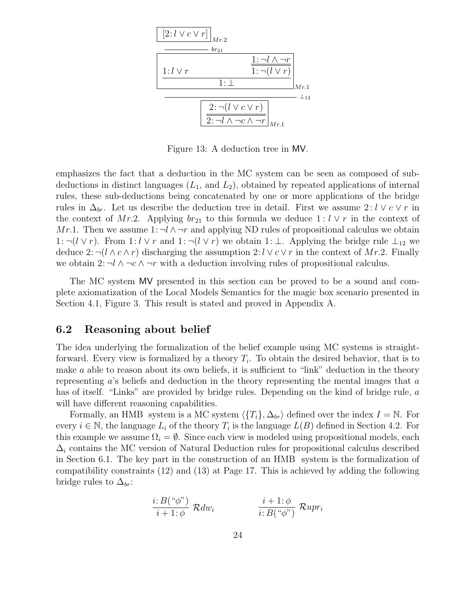

Figure 13: A deduction tree in MV.

emphasizes the fact that a deduction in the MC system can be seen as composed of subdeductions in distinct languages  $(L_1, \text{ and } L_2)$ , obtained by repeated applications of internal rules, these sub-deductions being concatenated by one or more applications of the bridge rules in  $\Delta_{br}$ . Let us describe the deduction tree in detail. First we assume 2:  $l \vee c \vee r$  in the context of Mr.2. Applying  $br_{21}$  to this formula we deduce  $1: l \vee r$  in the context of Mr.1. Then we assume  $1: \neg l \wedge \neg r$  and applying ND rules of propositional calculus we obtain 1:  $\neg(l \lor r)$ . From 1:  $l \lor r$  and 1:  $\neg(l \lor r)$  we obtain 1: ⊥. Applying the bridge rule  $\perp_{12}$  we deduce 2:  $\neg(l \wedge c \wedge r)$  discharging the assumption 2:  $l \vee c \vee r$  in the context of Mr.2. Finally we obtain  $2: \neg l \wedge \neg r$  with a deduction involving rules of propositional calculus.

The MC system MV presented in this section can be proved to be a sound and complete axiomatization of the Local Models Semantics for the magic box scenario presented in Section 4.1, Figure 3. This result is stated and proved in Appendix A.

#### 6.2 Reasoning about belief

The idea underlying the formalization of the belief example using MC systems is straightforward. Every view is formalized by a theory  $T_i$ . To obtain the desired behavior, that is to make  $a$  able to reason about its own beliefs, it is sufficient to "link" deduction in the theory representing  $a$ 's beliefs and deduction in the theory representing the mental images that  $a$ has of itself. "Links" are provided by bridge rules. Depending on the kind of bridge rule, a will have different reasoning capabilities.

Formally, an HMB system is a MC system  $\langle \{T_i\}, \Delta_{br} \rangle$  defined over the index  $I = \mathbb{N}$ . For every  $i \in \mathbb{N}$ , the language  $L_i$  of the theory  $T_i$  is the language  $L(B)$  defined in Section 4.2. For this example we assume  $\Omega_i = \emptyset$ . Since each view is modeled using propositional models, each  $\Delta_i$  contains the MC version of Natural Deduction rules for propositional calculus described in Section 6.1. The key part in the construction of an HMB system is the formalization of compatibility constraints (12) and (13) at Page 17. This is achieved by adding the following bridge rules to  $\Delta_{br}$ :

$$
\frac{i: B(\lq\varphi\lq) }{i+1: \phi} \mathcal{R}dw_i \qquad \qquad \frac{i+1: \phi}{i: B(\lq\varphi\lq)} \mathcal{R}upr_i
$$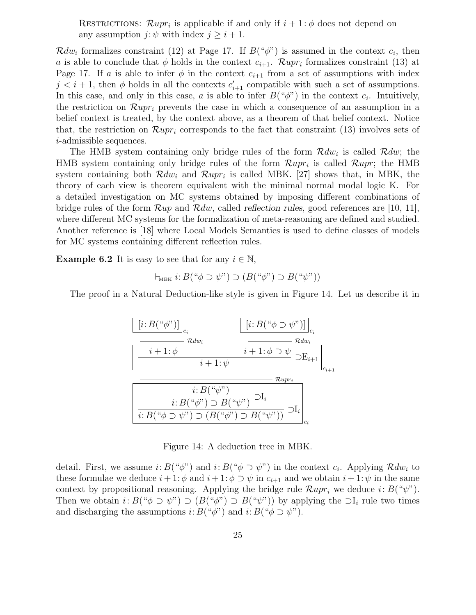RESTRICTIONS:  $\mathcal{R}upr_i$  is applicable if and only if  $i+1$ :  $\phi$  does not depend on any assumption  $j: \psi$  with index  $j \geq i+1$ .

 $\mathcal{R}dw_i$  formalizes constraint (12) at Page 17. If  $B(\degree\phi)$  is assumed in the context  $c_i$ , then a is able to conclude that  $\phi$  holds in the context  $c_{i+1}$ .  $\mathcal{R}upr_i$  formalizes constraint (13) at Page 17. If a is able to infer  $\phi$  in the context  $c_{i+1}$  from a set of assumptions with index  $j < i+1$ , then  $\phi$  holds in all the contexts  $c'_{i+1}$  compatible with such a set of assumptions. In this case, and only in this case, a is able to infer  $B(\phi)$  in the context  $c_i$ . Intuitively, the restriction on  $\mathcal{R}upr_i$  prevents the case in which a consequence of an assumption in a belief context is treated, by the context above, as a theorem of that belief context. Notice that, the restriction on  $\mathcal{R}upr_i$  corresponds to the fact that constraint (13) involves sets of i-admissible sequences.

The HMB system containing only bridge rules of the form  $\mathcal{R}dw_i$  is called  $\mathcal{R}dw_i$ ; the HMB system containing only bridge rules of the form  $\mathcal{R}upr_i$  is called  $\mathcal{R}upr_i$ ; the HMB system containing both  $\mathcal{R}dw_i$  and  $\mathcal{R}upr_i$  is called MBK. [27] shows that, in MBK, the theory of each view is theorem equivalent with the minimal normal modal logic K. For a detailed investigation on MC systems obtained by imposing different combinations of bridge rules of the form  $\mathcal{R}up$  and  $\mathcal{R}dw$ , called reflection rules, good references are [10, 11], where different MC systems for the formalization of meta-reasoning are defined and studied. Another reference is [18] where Local Models Semantics is used to define classes of models for MC systems containing different reflection rules.

**Example 6.2** It is easy to see that for any  $i \in \mathbb{N}$ ,

$$
\vdash_{\text{MBK}} i: B(\text{``}\phi \supset \psi\text{''}) \supset (B(\text{``}\phi\text{''}) \supset B(\text{``}\psi\text{''}))
$$

The proof in a Natural Deduction-like style is given in Figure 14. Let us describe it in



Figure 14: A deduction tree in MBK.

detail. First, we assume  $i: B("{\phi}")$  and  $i: B("{\phi} \supset {\psi}")$  in the context  $c_i$ . Applying  $\mathcal{R}dw_i$  to these formulae we deduce  $i + 1$ :  $\phi$  and  $i + 1$ :  $\phi \supset \psi$  in  $c_{i+1}$  and we obtain  $i + 1$ :  $\psi$  in the same context by propositional reasoning. Applying the bridge rule  $\mathcal{R}upr_i$  we deduce  $i: B(\mathfrak{w}^n)$ . Then we obtain  $i: B(\omega \supset \psi) \supset (B(\omega \psi)) \supset B(\omega \psi)$  by applying the  $\supset I_i$  rule two times and discharging the assumptions  $i: B(\degree\phi\degree)$  and  $i: B(\degree\phi \supset \psi\degree)$ .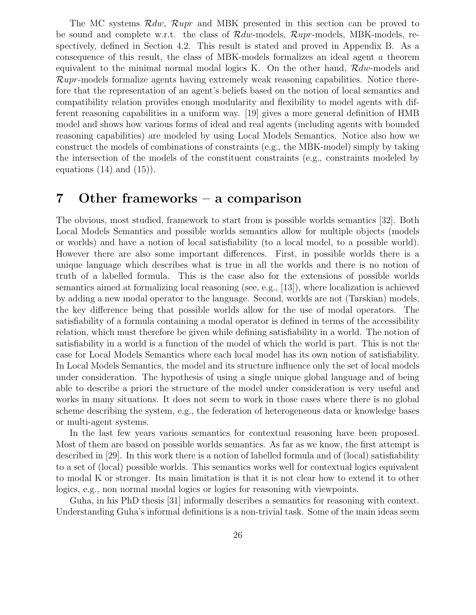The MC systems  $\mathcal{R}dw$ ,  $\mathcal{R}upr$  and MBK presented in this section can be proved to be sound and complete w.r.t. the class of  $Rdw$ -models,  $Rupr$ -models, MBK-models, respectively, defined in Section 4.2. This result is stated and proved in Appendix B. As a consequence of this result, the class of MBK-models formalizes an ideal agent a theorem equivalent to the minimal normal modal logics K. On the other hand,  $\mathcal{R}dw$ -models and  $\mathcal{R}upr$ -models formalize agents having extremely weak reasoning capabilities. Notice therefore that the representation of an agent's beliefs based on the notion of local semantics and compatibility relation provides enough modularity and flexibility to model agents with different reasoning capabilities in a uniform way. [19] gives a more general definition of HMB model and shows how various forms of ideal and real agents (including agents with bounded reasoning capabilities) are modeled by using Local Models Semantics. Notice also how we construct the models of combinations of constraints (e.g., the MBK-model) simply by taking the intersection of the models of the constituent constraints (e.g., constraints modeled by equations  $(14)$  and  $(15)$ ).

### 7 Other frameworks – a comparison

The obvious, most studied, framework to start from is possible worlds semantics [32]. Both Local Models Semantics and possible worlds semantics allow for multiple objects (models or worlds) and have a notion of local satisfiability (to a local model, to a possible world). However there are also some important differences. First, in possible worlds there is a unique language which describes what is true in all the worlds and there is no notion of truth of a labelled formula. This is the case also for the extensions of possible worlds semantics aimed at formalizing local reasoning (see, e.g., [13]), where localization is achieved by adding a new modal operator to the language. Second, worlds are not (Tarskian) models, the key difference being that possible worlds allow for the use of modal operators. The satisfiability of a formula containing a modal operator is defined in terms of the accessibility relation, which must therefore be given while defining satisfiability in a world. The notion of satisfiability in a world is a function of the model of which the world is part. This is not the case for Local Models Semantics where each local model has its own notion of satisfiability. In Local Models Semantics, the model and its structure influence only the set of local models under consideration. The hypothesis of using a single unique global language and of being able to describe a priori the structure of the model under consideration is very useful and works in many situations. It does not seem to work in those cases where there is no global scheme describing the system, e.g., the federation of heterogeneous data or knowledge bases or multi-agent systems.

In the last few years various semantics for contextual reasoning have been proposed. Most of them are based on possible worlds semantics. As far as we know, the first attempt is described in [29]. In this work there is a notion of labelled formula and of (local) satisfiability to a set of (local) possible worlds. This semantics works well for contextual logics equivalent to modal K or stronger. Its main limitation is that it is not clear how to extend it to other logics, e.g., non normal modal logics or logics for reasoning with viewpoints.

Guha, in his PhD thesis [31] informally describes a semantics for reasoning with context. Understanding Guha's informal definitions is a non-trivial task. Some of the main ideas seem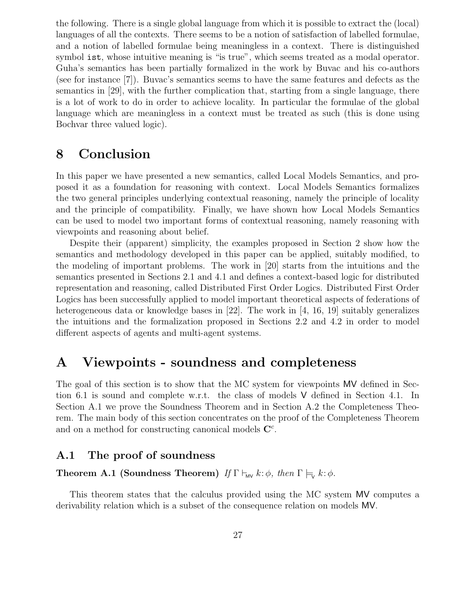the following. There is a single global language from which it is possible to extract the (local) languages of all the contexts. There seems to be a notion of satisfaction of labelled formulae, and a notion of labelled formulae being meaningless in a context. There is distinguished symbol ist, whose intuitive meaning is "is true", which seems treated as a modal operator. Guha's semantics has been partially formalized in the work by Buvac and his co-authors (see for instance [7]). Buvac's semantics seems to have the same features and defects as the semantics in [29], with the further complication that, starting from a single language, there is a lot of work to do in order to achieve locality. In particular the formulae of the global language which are meaningless in a context must be treated as such (this is done using Bochvar three valued logic).

### 8 Conclusion

In this paper we have presented a new semantics, called Local Models Semantics, and proposed it as a foundation for reasoning with context. Local Models Semantics formalizes the two general principles underlying contextual reasoning, namely the principle of locality and the principle of compatibility. Finally, we have shown how Local Models Semantics can be used to model two important forms of contextual reasoning, namely reasoning with viewpoints and reasoning about belief.

Despite their (apparent) simplicity, the examples proposed in Section 2 show how the semantics and methodology developed in this paper can be applied, suitably modified, to the modeling of important problems. The work in [20] starts from the intuitions and the semantics presented in Sections 2.1 and 4.1 and defines a context-based logic for distributed representation and reasoning, called Distributed First Order Logics. Distributed First Order Logics has been successfully applied to model important theoretical aspects of federations of heterogeneous data or knowledge bases in [22]. The work in [4, 16, 19] suitably generalizes the intuitions and the formalization proposed in Sections 2.2 and 4.2 in order to model different aspects of agents and multi-agent systems.

### A Viewpoints - soundness and completeness

The goal of this section is to show that the MC system for viewpoints MV defined in Section 6.1 is sound and complete w.r.t. the class of models V defined in Section 4.1. In Section A.1 we prove the Soundness Theorem and in Section A.2 the Completeness Theorem. The main body of this section concentrates on the proof of the Completeness Theorem and on a method for constructing canonical models  $\mathbb{C}^c$ .

#### A.1 The proof of soundness

**Theorem A.1 (Soundness Theorem)** If  $\Gamma \vdash_{\mathsf{MV}} k:\phi$ , then  $\Gamma \models_{\mathsf{V}} k:\phi$ .

This theorem states that the calculus provided using the MC system MV computes a derivability relation which is a subset of the consequence relation on models MV.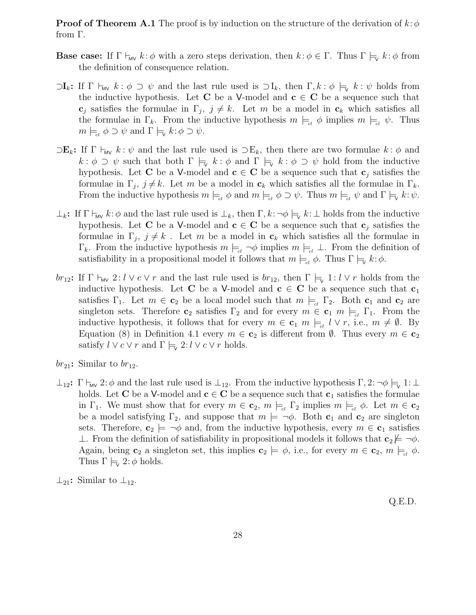**Proof of Theorem A.1** The proof is by induction on the structure of the derivation of  $k:\phi$ from Γ.

- **Base case:** If  $\Gamma \vdash_{\mathsf{MV}} k:\phi$  with a zero steps derivation, then  $k:\phi \in \Gamma$ . Thus  $\Gamma \models_{\mathsf{V}} k:\phi$  from the definition of consequence relation.
- $\Box I_k$ : If  $\Gamma \vdash_{\mathsf{mv}} k : \phi \supset \psi$  and the last rule used is  $\Box I_k$ , then  $\Gamma, k : \phi \models_{\mathsf{v}} k : \psi$  holds from the inductive hypothesis. Let C be a V-model and  $c \in C$  be a sequence such that  $\mathbf{c}_j$  satisfies the formulae in  $\Gamma_j$ ,  $j \neq k$ . Let m be a model in  $\mathbf{c}_k$  which satisfies all the formulae in  $\Gamma_k$ . From the inductive hypothesis  $m \models_d \phi$  implies  $m \models_d \psi$ . Thus  $m \models_{\scriptscriptstyle{\text{cl}}} \phi \supset \psi \text{ and } \Gamma \models_{\mathsf{v}} k:\phi \supset \psi.$
- $\supset \mathbf{E}_k$ : If  $\Gamma \vdash_{\mathsf{M}V} k : \psi$  and the last rule used is  $\supset \mathbf{E}_k$ , then there are two formulae  $k : \phi$  and  $k: \phi \supset \psi$  such that both  $\Gamma \models_{\mathsf{V}} k: \phi$  and  $\Gamma \models_{\mathsf{V}} k: \phi \supset \psi$  hold from the inductive hypothesis. Let C be a V-model and  $c \in C$  be a sequence such that  $c_i$  satisfies the formulae in  $\Gamma_j$ ,  $j \neq k$ . Let m be a model in  $c_k$  which satisfies all the formulae in  $\Gamma_k$ . From the inductive hypothesis  $m \models_{cl} \phi$  and  $m \models_{cl} \phi \supset \psi$ . Thus  $m \models_{cl} \psi$  and  $\Gamma \models_{\nabla} k : \psi$ .
- $\perp_k$ : If  $\Gamma \vdash_{\mathsf{MV}} k:\phi$  and the last rule used is  $\perp_k$ , then  $\Gamma, k:\neg \phi \models_{\mathsf{V}} k:\bot$  holds from the inductive hypothesis. Let C be a V-model and  $c \in C$  be a sequence such that  $c_j$  satisfies the formulae in  $\Gamma_j$ ,  $j \neq k$ . Let m be a model in  $c_k$  which satisfies all the formulae in  $\Gamma_k$ . From the inductive hypothesis  $m \models_d \neg \phi$  implies  $m \models_d \bot$ . From the definition of satisfiability in a propositional model it follows that  $m \models_{cl} \phi$ . Thus  $\Gamma \models_{\mathsf{v}} k:\phi$ .
- br<sub>12</sub>: If  $\Gamma \vdash_{\mathsf{MV}} 2: l \vee c \vee r$  and the last rule used is  $br_{12}$ , then  $\Gamma \models_{\mathsf{V}} 1: l \vee r$  holds from the inductive hypothesis. Let C be a V-model and  $c \in C$  be a sequence such that  $c_1$ satisfies  $\Gamma_1$ . Let  $m \in \mathbf{c}_2$  be a local model such that  $m \models d \Gamma_2$ . Both  $\mathbf{c}_1$  and  $\mathbf{c}_2$  are singleton sets. Therefore  $c_2$  satisfies  $\Gamma_2$  and for every  $m \in c_1$   $m \models_c \Gamma_1$ . From the inductive hypothesis, it follows that for every  $m \in \mathbf{c}_1$   $m \models_{cl} l \vee r$ , i.e.,  $m \neq \emptyset$ . By Equation (8) in Definition 4.1 every  $m \in \mathbf{c}_2$  is different from  $\emptyset$ . Thus every  $m \in \mathbf{c}_2$ satisfy  $l \vee c \vee r$  and  $\Gamma \models_{\vee} 2l \vee c \vee r$  holds.

 $br_{21}$ : Similar to  $br_{12}$ .

 $\perp_{12}$ :  $\Gamma \vdash_{\mathsf{mv}} 2:\phi$  and the last rule used is  $\perp_{12}$ . From the inductive hypothesis  $\Gamma, 2:\neg \phi \models_{\mathsf{v}} 1:\bot$ holds. Let C be a V-model and  $c \in C$  be a sequence such that  $c_1$  satisfies the formulae in  $\Gamma_1$ . We must show that for every  $m \in \mathbf{c}_2$ ,  $m \models_{cl} \Gamma_2$  implies  $m \models_{cl} \phi$ . Let  $m \in \mathbf{c}_2$ be a model satisfying  $\Gamma_2$ , and suppose that  $m \models \neg \phi$ . Both  $c_1$  and  $c_2$  are singleton sets. Therefore,  $\mathbf{c}_2 \models \neg \phi$  and, from the inductive hypothesis, every  $m \in \mathbf{c}_1$  satisfies ⊥. From the definition of satisfiability in propositional models it follows that  $\mathbf{c}_2 \not\models \neg \phi$ . Again, being  $c_2$  a singleton set, this implies  $c_2 \models \phi$ , i.e., for every  $m \in c_2$ ,  $m \models_{cl} \phi$ . Thus  $\Gamma \models_{\mathsf{V}} 2:\phi \text{ holds.}$ 

 $\perp_{21}$ : Similar to  $\perp_{12}$ .

Q.E.D.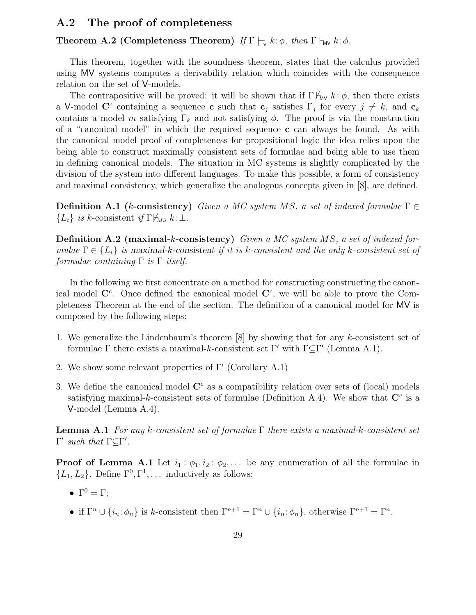### A.2 The proof of completeness

#### **Theorem A.2 (Completeness Theorem)** If  $\Gamma \models_{\mathsf{v}} k:\phi$ , then  $\Gamma \vdash_{\mathsf{mv}} k:\phi$ .

This theorem, together with the soundness theorem, states that the calculus provided using MV systems computes a derivability relation which coincides with the consequence relation on the set of V-models.

The contrapositive will be proved: it will be shown that if  $\Gamma \not\vdash_{MV} k : \phi$ , then there exists a V-model  $\mathbf{C}^c$  containing a sequence **c** such that  $\mathbf{c}_j$  satisfies  $\Gamma_j$  for every  $j \neq k$ , and  $\mathbf{c}_k$ contains a model m satisfying  $\Gamma_k$  and not satisfying  $\phi$ . The proof is via the construction of a "canonical model" in which the required sequence c can always be found. As with the canonical model proof of completeness for propositional logic the idea relies upon the being able to construct maximally consistent sets of formulae and being able to use them in defining canonical models. The situation in MC systems is slightly complicated by the division of the system into different languages. To make this possible, a form of consistency and maximal consistency, which generalize the analogous concepts given in [8], are defined.

**Definition A.1 (k-consistency)** Given a MC system MS, a set of indexed formulae  $\Gamma \in$  ${L_i}$  is k-consistent if  $\Gamma \not\vdash_{MS} k:\bot$ .

Definition A.2 (maximal-k-consistency) Given a MC system MS, a set of indexed formulae  $\Gamma \in \{L_i\}$  is maximal-k-consistent if it is k-consistent and the only k-consistent set of formulae containing  $\Gamma$  is  $\Gamma$  itself.

In the following we first concentrate on a method for constructing constructing the canonical model  $\mathbb{C}^c$ . Once defined the canonical model  $\mathbb{C}^c$ , we will be able to prove the Completeness Theorem at the end of the section. The definition of a canonical model for MV is composed by the following steps:

- 1. We generalize the Lindenbaum's theorem [8] by showing that for any k-consistent set of formulae  $\Gamma$  there exists a maximal-k-consistent set  $\Gamma'$  with  $\Gamma \subseteq \Gamma'$  (Lemma A.1).
- 2. We show some relevant properties of  $\Gamma'$  (Corollary A.1)
- 3. We define the canonical model  $\mathbb{C}^c$  as a compatibility relation over sets of (local) models satisfying maximal-k-consistent sets of formulae (Definition A.4). We show that  $\mathbf{C}^c$  is a V-model (Lemma A.4).

**Lemma A.1** For any k-consistent set of formulae  $\Gamma$  there exists a maximal-k-consistent set  $Γ'$  such that  $Γ ⊆ Γ'.$ 

**Proof of Lemma A.1** Let  $i_1 : \phi_1, i_2 : \phi_2, \ldots$  be any enumeration of all the formulae in  $\{L_1, L_2\}$ . Define  $\Gamma^0, \Gamma^1, \ldots$  inductively as follows:

- $\Gamma^0 = \Gamma;$
- if  $\Gamma^n \cup \{i_n : \phi_n\}$  is k-consistent then  $\Gamma^{n+1} = \Gamma^n \cup \{i_n : \phi_n\}$ , otherwise  $\Gamma^{n+1} = \Gamma^n$ .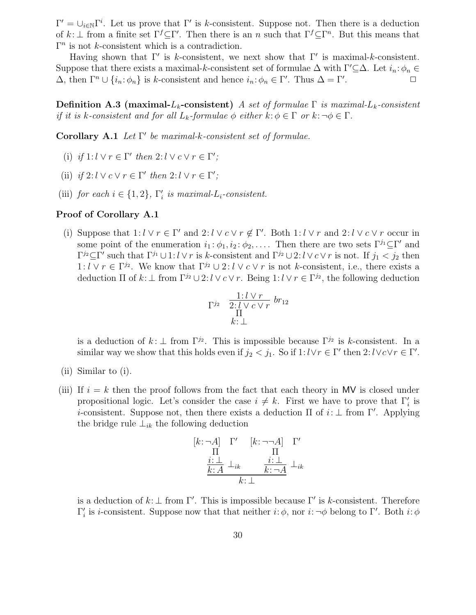$\Gamma' = \cup_{i \in \mathbb{N}} \Gamma^i$ . Let us prove that  $\Gamma'$  is k-consistent. Suppose not. Then there is a deduction of  $k: \bot$  from a finite set  $\Gamma^f \subseteq \Gamma'$ . Then there is an n such that  $\Gamma^f \subseteq \Gamma^n$ . But this means that  $\Gamma^n$  is not *k*-consistent which is a contradiction.

Having shown that  $\Gamma'$  is k-consistent, we next show that  $\Gamma'$  is maximal-k-consistent. Suppose that there exists a maximal-k-consistent set of formulae  $\Delta$  with  $\Gamma' \subseteq \Delta$ . Let  $i_n : \phi_n \in$  $\Delta$ , then  $\Gamma^n \cup \{i_n : \phi_n\}$  is k-consistent and hence  $i_n : \phi_n \in \Gamma'$ . Thus  $\Delta = \Gamma'$ .  $\Box$ 

Definition A.3 (maximal-L<sub>k</sub>-consistent) A set of formulae  $\Gamma$  is maximal-L<sub>k</sub>-consistent if it is k-consistent and for all  $L_k$ -formulae  $\phi$  either  $k: \phi \in \Gamma$  or  $k: \neg \phi \in \Gamma$ .

Corollary A.1 Let  $\Gamma'$  be maximal-k-consistent set of formulae.

- (i) if  $1: l \vee r \in \Gamma'$  then  $2: l \vee c \vee r \in \Gamma'$ ;
- (ii) if  $2: l \vee c \vee r \in \Gamma'$  then  $2: l \vee r \in \Gamma'$ ;
- (iii) for each  $i \in \{1, 2\}$ ,  $\Gamma'_i$  is maximal-L<sub>i</sub>-consistent.

#### Proof of Corollary A.1

(i) Suppose that  $1: l \vee r \in \Gamma'$  and  $2: l \vee c \vee r \notin \Gamma'$ . Both  $1: l \vee r$  and  $2: l \vee c \vee r$  occur in some point of the enumeration  $i_1 : \phi_1, i_2 : \phi_2, \ldots$ . Then there are two sets  $\Gamma^{j_1} \subseteq \Gamma'$  and  $\Gamma^{j_2}\subseteq \Gamma'$  such that  $\Gamma^{j_1} \cup 1: l \vee r$  is k-consistent and  $\Gamma^{j_2} \cup 2: l \vee c \vee r$  is not. If  $j_1 < j_2$  then 1:  $l \vee r \in \Gamma^{j_2}$ . We know that  $\Gamma^{j_2} \cup 2$ :  $l \vee c \vee r$  is not k-consistent, i.e., there exists a deduction  $\Pi$  of  $k: \bot$  from  $\Gamma^{j_2} \cup 2: l \vee c \vee r$ . Being  $1: l \vee r \in \Gamma^{j_2}$ , the following deduction

$$
\Gamma^{j_2} \quad \frac{1: l \vee r}{\substack{2: l \vee c \vee r \\ \Pi}} br_{12} \quad k: \perp
$$

is a deduction of  $k: \perp$  from  $\Gamma^{j_2}$ . This is impossible because  $\Gamma^{j_2}$  is k-consistent. In a similar way we show that this holds even if  $j_2 < j_1$ . So if  $1: l \lor r \in \Gamma'$  then  $2: l \lor c \lor r \in \Gamma'$ .

- (ii) Similar to (i).
- (iii) If  $i = k$  then the proof follows from the fact that each theory in MV is closed under propositional logic. Let's consider the case  $i \neq k$ . First we have to prove that  $\Gamma'_i$  is *i*-consistent. Suppose not, then there exists a deduction  $\Pi$  of  $i: \bot$  from  $\Gamma'$ . Applying the bridge rule  $\perp_{ik}$  the following deduction

$$
\begin{array}{ccc}\n[k; \neg A] & \Gamma' & [k; \neg \neg A] & \Gamma' \\
\prod & \Pi & \Pi \\
\frac{i: \bot}{k: A \bot_{ik}} & \frac{i: \bot}{k: \neg A} \bot_{ik} \\
\hline\nk: \bot\n\end{array}
$$

is a deduction of  $k: \perp$  from Γ'. This is impossible because Γ' is k-consistent. Therefore  $\Gamma'_i$  is *i*-consistent. Suppose now that that neither  $i: \phi$ , nor  $i: \neg \phi$  belong to Γ'. Both  $i: \phi$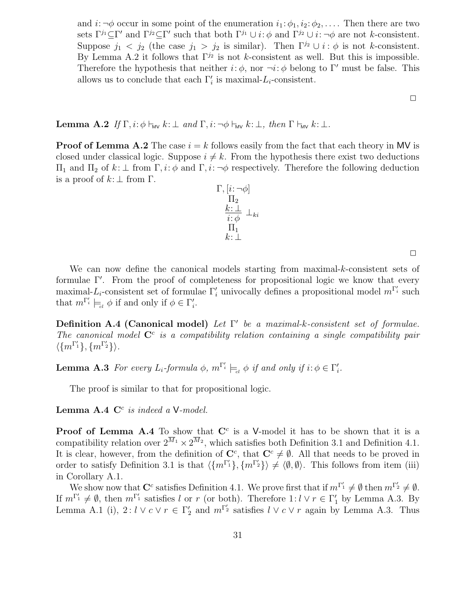and  $i:\neg \phi$  occur in some point of the enumeration  $i_1:\phi_1, i_2:\phi_2, \ldots$ . Then there are two sets  $\Gamma^{j_1} \subseteq \Gamma'$  and  $\Gamma^{j_2} \subseteq \Gamma'$  such that both  $\Gamma^{j_1} \cup i$ :  $\phi$  and  $\Gamma^{j_2} \cup i$ :  $\neg \phi$  are not k-consistent. Suppose  $j_1 < j_2$  (the case  $j_1 > j_2$  is similar). Then  $\Gamma^{j_2} \cup i : \phi$  is not k-consistent. By Lemma A.2 it follows that  $\Gamma^{j_2}$  is not k-consistent as well. But this is impossible. Therefore the hypothesis that neither  $i: \phi$ , nor  $\neg i: \phi$  belong to Γ' must be false. This allows us to conclude that each  $\Gamma'_i$  is maximal- $L_i$ -consistent.

**Lemma A.2** If  $\Gamma$ ,  $i: \phi \vdash_{\mathsf{MV}} k: \bot$  and  $\Gamma$ ,  $i: \neg \phi \vdash_{\mathsf{MV}} k: \bot$ , then  $\Gamma \vdash_{\mathsf{MV}} k: \bot$ .

**Proof of Lemma A.2** The case  $i = k$  follows easily from the fact that each theory in MV is closed under classical logic. Suppose  $i \neq k$ . From the hypothesis there exist two deductions  $\Pi_1$  and  $\Pi_2$  of  $k: \bot$  from Γ,  $i: ∞$  and Γ,  $i: \neg ∞$  respectively. Therefore the following deduction is a proof of  $k: \perp$  from  $\Gamma$ .

$$
\Gamma, \left[i : \neg \phi\right] \n\Pi_2 \n\underbrace{k : \bot}_{i : \phi} \bot_{ki} \n\Pi_1 \n\underbrace{k : \bot}
$$

 $\Box$ 

 $\Box$ 

We can now define the canonical models starting from maximal-k-consistent sets of formulae Γ 0 . From the proof of completeness for propositional logic we know that every maximal-L<sub>i</sub>-consistent set of formulae  $\Gamma'_i$  univocally defines a propositional model  $m^{\Gamma'_i}$  such that  $m^{\Gamma'_i} \models_{cl} \phi$  if and only if  $\phi \in \Gamma'_i$ .

**Definition A.4 (Canonical model)** Let  $\Gamma'$  be a maximal-k-consistent set of formulae. The canonical model  $\mathbb{C}^c$  is a compatibility relation containing a single compatibility pair  $\langle \{m^{\Gamma'_1}\}, \{m^{\Gamma'_2}\} \rangle.$ 

**Lemma A.3** For every  $L_i$ -formula  $\phi$ ,  $m^{\Gamma'_i} \models_{cl} \phi$  if and only if  $i: \phi \in \Gamma'_i$ .

The proof is similar to that for propositional logic.

Lemma A.4  $\mathbb{C}^c$  is indeed a V-model.

**Proof of Lemma A.4** To show that  $C^c$  is a V-model it has to be shown that it is a compatibility relation over  $2^{M_1} \times 2^{M_2}$ , which satisfies both Definition 3.1 and Definition 4.1. It is clear, however, from the definition of  $\mathbb{C}^c$ , that  $\mathbb{C}^c \neq \emptyset$ . All that needs to be proved in order to satisfy Definition 3.1 is that  $\langle \{m^{\Gamma_1}\}, \{m^{\Gamma_2}\}\rangle \neq \langle \emptyset, \emptyset \rangle$ . This follows from item (iii) in Corollary A.1.

We show now that  $\mathbf{C}^c$  satisfies Definition 4.1. We prove first that if  $m^{\Gamma'_1} \neq \emptyset$  then  $m^{\Gamma'_2} \neq \emptyset$ . If  $m^{\Gamma'_1} \neq \emptyset$ , then  $m^{\Gamma'_1}$  satisfies l or r (or both). Therefore 1:  $l \vee r \in \Gamma'_1$  by Lemma A.3. By Lemma A.1 (i),  $2: l \vee c \vee r \in \Gamma'_2$  and  $m^{\Gamma'_2}$  satisfies  $l \vee c \vee r$  again by Lemma A.3. Thus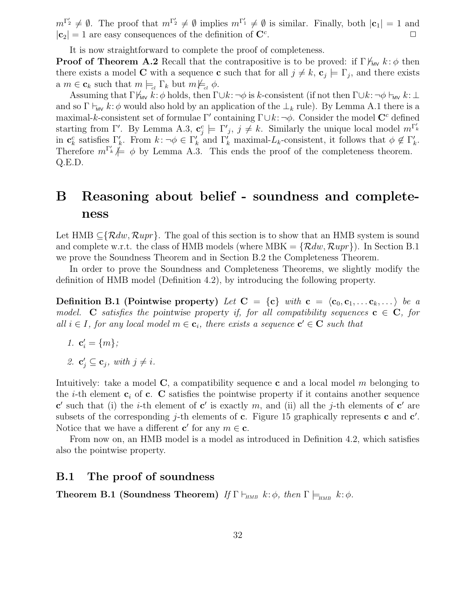$m^{\Gamma'_2} \neq \emptyset$ . The proof that  $m^{\Gamma'_2} \neq \emptyset$  implies  $m^{\Gamma'_1} \neq \emptyset$  is similar. Finally, both  $|\mathbf{c}_1| = 1$  and  $|\mathbf{c}_2| = 1$  are easy consequences of the definition of  $\mathbf{C}^c$ . . The contract of  $\mathbb{R}^n$  is the contract of  $\Box$ 

It is now straightforward to complete the proof of completeness.

**Proof of Theorem A.2** Recall that the contrapositive is to be proved: if  $\Gamma \not\models_{\mathsf{MV}} k : \phi$  then there exists a model **C** with a sequence **c** such that for all  $j \neq k$ ,  $\mathbf{c}_j \models \Gamma_j$ , and there exists a  $m \in \mathbf{c}_k$  such that  $m \models_{cl} \Gamma_k$  but  $m \not\models_{cl} \phi$ .

Assuming that  $\Gamma\mathcal{V}_{\text{MV}}$  k:  $\phi$  holds, then  $\Gamma\cup k:\neg\phi$  is k-consistent (if not then  $\Gamma\cup k:\neg\phi \vdash_{\text{MV}} k:\bot$ and so  $\Gamma \vdash_{\mathsf{MV}} k: \phi$  would also hold by an application of the  $\bot_k$  rule). By Lemma A.1 there is a maximal-k-consistent set of formulae Γ' containing  $\Gamma \cup k$ : ¬ $\phi$ . Consider the model C<sup>c</sup> defined starting from Γ'. By Lemma A.3,  $\mathbf{c}_j^c \models \Gamma'_j$ ,  $j \neq k$ . Similarly the unique local model  $m^{\Gamma'_k}$ in  $\mathbf{c}_k^c$  satisfies  $\Gamma'_k$ . From  $k: \neg \phi \in \Gamma'_k$  and  $\Gamma'_k$  maximal- $L_k$ -consistent, it follows that  $\phi \notin \Gamma'_k$ . Therefore  $m^{\Gamma'_k} \not\models \phi$  by Lemma A.3. This ends the proof of the completeness theorem. Q.E.D.

# B Reasoning about belief - soundness and completeness

Let HMB  $\subseteq$ { $\mathcal{R}dw$ ,  $\mathcal{R}upr$ }. The goal of this section is to show that an HMB system is sound and complete w.r.t. the class of HMB models (where MBK  $= \{ \mathcal{R}dw, \mathcal{R}upr \}$ ). In Section B.1 we prove the Soundness Theorem and in Section B.2 the Completeness Theorem.

In order to prove the Soundness and Completeness Theorems, we slightly modify the definition of HMB model (Definition 4.2), by introducing the following property.

**Definition B.1 (Pointwise property)** Let  $C = \{c\}$  with  $c = \langle c_0, c_1, \ldots c_k, \ldots \rangle$  be a model. C satisfies the pointwise property if, for all compatibility sequences  $c \in C$ , for all  $i \in I$ , for any local model  $m \in c_i$ , there exists a sequence  $c' \in C$  such that

- 1.  $\mathbf{c}'_i = \{m\};$
- 2.  $\mathbf{c}'_j \subseteq \mathbf{c}_j$ , with  $j \neq i$ .

Intuitively: take a model  $C$ , a compatibility sequence c and a local model m belonging to the *i*-th element  $c_i$  of c. C satisfies the pointwise property if it contains another sequence c' such that (i) the *i*-th element of c' is exactly m, and (ii) all the *j*-th elements of c' are subsets of the corresponding j-th elements of c. Figure 15 graphically represents c and  $c'$ . Notice that we have a different  $c'$  for any  $m \in \mathbf{c}$ .

From now on, an HMB model is a model as introduced in Definition 4.2, which satisfies also the pointwise property.

#### B.1 The proof of soundness

**Theorem B.1 (Soundness Theorem)** If  $\Gamma \vdash_{HMB} k:\phi$ , then  $\Gamma \models_{HMB} k:\phi$ .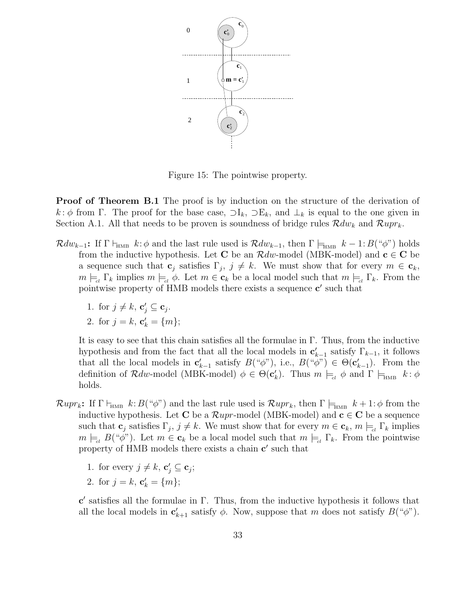

Figure 15: The pointwise property.

**Proof of Theorem B.1** The proof is by induction on the structure of the derivation of k:  $\phi$  from Γ. The proof for the base case,  $\supset I_k$ ,  $\supset E_k$ , and  $\perp_k$  is equal to the one given in Section A.1. All that needs to be proven is soundness of bridge rules  $\mathcal{R}dw_k$  and  $\mathcal{R}upr_k$ .

- $\mathcal{R}dw_{k-1}$ : If  $\Gamma \vdash_{\text{HMB}} k:\phi$  and the last rule used is  $\mathcal{R}dw_{k-1}$ , then  $\Gamma \models_{\text{HMB}} k-1:B(\degree\phi\degree)$  holds from the inductive hypothesis. Let C be an  $\mathcal{R}dw$ -model (MBK-model) and  $\mathbf{c} \in \mathbf{C}$  be a sequence such that  $c_j$  satisfies  $\Gamma_j$ ,  $j \neq k$ . We must show that for every  $m \in c_k$ ,  $m \models_{cl} \Gamma_k$  implies  $m \models_{cl} \phi$ . Let  $m \in \mathbf{c}_k$  be a local model such that  $m \models_{cl} \Gamma_k$ . From the pointwise property of HMB models there exists a sequence  $c'$  such that
	- 1. for  $j \neq k$ ,  $\mathbf{c}'_j \subseteq \mathbf{c}_j$ .

2. for 
$$
j = k
$$
,  $c'_k = \{m\};$ 

It is easy to see that this chain satisfies all the formulae in Γ. Thus, from the inductive hypothesis and from the fact that all the local models in  $\mathbf{c}'_{k-1}$  satisfy  $\Gamma_{k-1}$ , it follows that all the local models in  $\mathbf{c}'_{k-1}$  satisfy  $B({}^\omega\phi)$ , i.e.,  $B({}^\omega\phi) \in \Theta(\mathbf{c}'_{k-1})$ . From the definition of Rdw-model (MBK-model)  $\phi \in \Theta(\mathbf{c}'_k)$ . Thus  $m \models_{cl} \phi$  and  $\Gamma \models_{\text{HMB}} k : \phi$ holds.

- $\mathcal{R}upr_k$ : If  $\Gamma \vdash_{\text{HMB}} k: B(\lq\lq\lq\lq\lq\lq)$  and the last rule used is  $\mathcal{R}upr_k$ , then  $\Gamma \models_{\text{HMB}} k+1:\phi$  from the inductive hypothesis. Let C be a  $\mathcal{R}upr$ -model (MBK-model) and  $\mathbf{c} \in \mathbf{C}$  be a sequence such that  $\mathbf{c}_j$  satisfies  $\Gamma_j$ ,  $j \neq k$ . We must show that for every  $m \in \mathbf{c}_k$ ,  $m \models_{cl} \Gamma_k$  implies  $m \models_{\alpha} B(\check{\varphi})$ . Let  $m \in \mathbf{c}_k$  be a local model such that  $m \models_{\alpha} \Gamma_k$ . From the pointwise property of HMB models there exists a chain  $c'$  such that
	- 1. for every  $j \neq k$ ,  $\mathbf{c}'_j \subseteq \mathbf{c}_j$ ;
	- 2. for  $j = k$ ,  $\mathbf{c}'_k = \{m\};$

 ${\bf c}'$  satisfies all the formulae in  $\Gamma$ . Thus, from the inductive hypothesis it follows that all the local models in  $\mathbf{c}'_{k+1}$  satisfy  $\phi$ . Now, suppose that m does not satisfy  $B(\mathbf{w}^n)$ .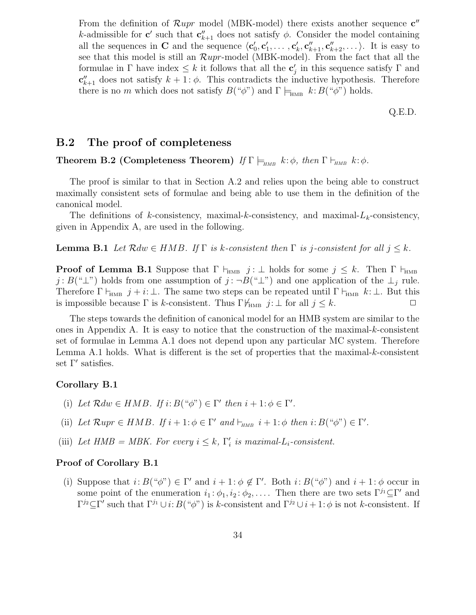From the definition of  $\mathcal{R}upr$  model (MBK-model) there exists another sequence  $\mathbf{c}''$ k-admissible for **c'** such that  $\mathbf{c}_{k+1}''$  does not satisfy  $\phi$ . Consider the model containing all the sequences in C and the sequence  $\langle c'_0, c'_1, \ldots, c'_k, c''_{k+1}, c''_{k+2}, \ldots \rangle$ . It is easy to see that this model is still an  $\mathcal{R}upr$ -model (MBK-model). From the fact that all the formulae in  $\Gamma$  have index  $\leq k$  it follows that all the  $\mathbf{c}'_j$  in this sequence satisfy  $\Gamma$  and  $\mathbf{c}_{k+1}''$  does not satisfy  $k+1$ :  $\phi$ . This contradicts the inductive hypothesis. Therefore there is no m which does not satisfy  $B(\degree\phi^{\scriptscriptstyle\prime\prime})$  and  $\Gamma \models_{\text{\textnormal{HMB}}} k: B(\degree\phi^{\scriptscriptstyle\prime\prime})$  holds.

Q.E.D.

### B.2 The proof of completeness

### **Theorem B.2 (Completeness Theorem)** If  $\Gamma \models_{HMB} k:\phi$ , then  $\Gamma \models_{HMB} k:\phi$ .

The proof is similar to that in Section A.2 and relies upon the being able to construct maximally consistent sets of formulae and being able to use them in the definition of the canonical model.

The definitions of k-consistency, maximal-k-consistency, and maximal- $L_k$ -consistency, given in Appendix A, are used in the following.

**Lemma B.1** Let  $\mathcal{R}dw \in HMB$ . If  $\Gamma$  is k-consistent then  $\Gamma$  is j-consistent for all  $j \leq k$ .

**Proof of Lemma B.1** Suppose that  $\Gamma \vdash_{\text{HMB}} j : \bot$  holds for some  $j \leq k$ . Then  $\Gamma \vdash_{\text{HMB}} j$ j : B("⊥") holds from one assumption of j : ¬B("⊥") and one application of the  $\perp_i$  rule. Therefore  $\Gamma \vdash_{HMB} j + i: \bot$ . The same two steps can be repeated until  $\Gamma \vdash_{HMB} k: \bot$ . But this is impossible because  $\Gamma$  is k-consistent. Thus  $\Gamma \not\vdash_{\text{HMB}} j: \bot$  for all  $j \leq k$ .

The steps towards the definition of canonical model for an HMB system are similar to the ones in Appendix A. It is easy to notice that the construction of the maximal- $k$ -consistent set of formulae in Lemma A.1 does not depend upon any particular MC system. Therefore Lemma A.1 holds. What is different is the set of properties that the maximal- $k$ -consistent set  $\Gamma'$  satisfies.

#### Corollary B.1

- (i) Let  $\mathcal{R}dw \in HMB$ . If  $i: B(\degree \phi) \in \Gamma'$  then  $i+1: \phi \in \Gamma'$ .
- (ii) Let  $\mathcal{R}upp \in HMB$ . If  $i+1: \phi \in \Gamma'$  and  $\vdash_{HMB} i+1: \phi$  then  $i: B({}``\phi") \in \Gamma'.$
- (iii) Let HMB = MBK. For every  $i \leq k$ ,  $\Gamma'_i$  is maximal-L<sub>i</sub>-consistent.

#### Proof of Corollary B.1

(i) Suppose that  $i: B({}^\omega \phi$ " $) \in \Gamma'$  and  $i+1: \phi \notin \Gamma'$ . Both  $i: B({}^\omega \phi$ " $)$  and  $i+1: \phi$  occur in some point of the enumeration  $i_1 : \phi_1, i_2 : \phi_2, \ldots$ . Then there are two sets  $\Gamma^{j_1} \subseteq \Gamma'$  and  $\Gamma^{j_2}\subseteq\Gamma'$  such that  $\Gamma^{j_1}\cup i$ :  $B({}^\omega\phi")$  is k-consistent and  $\Gamma^{j_2}\cup i+1$ : φ is not k-consistent. If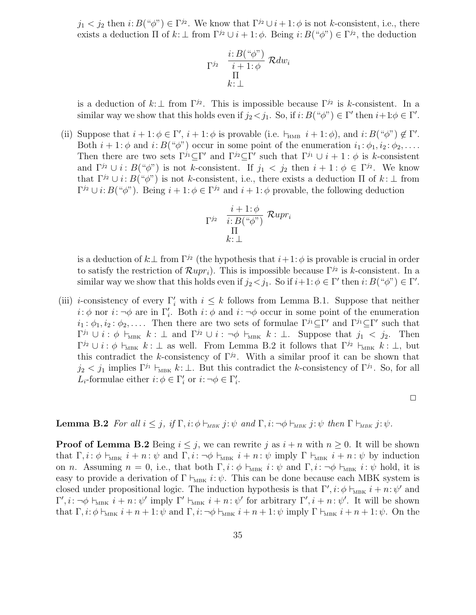$j_1 < j_2$  then  $i: B(\lq \phi^{\gamma}) \in \Gamma^{j_2}$ . We know that  $\Gamma^{j_2} \cup i + 1: \phi$  is not k-consistent, i.e., there exists a deduction  $\Pi$  of  $k: \bot$  from  $\Gamma^{j_2} \cup i + 1: \phi$ . Being  $i: B(\lq \phi^{\gamma}) \in \Gamma^{j_2}$ , the deduction

$$
\Gamma^{j_2} \quad \frac{i: B(" \phi")}{i+1: \phi} \mathcal{R} dw_i
$$

$$
\Pi \atop k: \perp
$$

is a deduction of  $k:\perp$  from  $\Gamma^{j_2}$ . This is impossible because  $\Gamma^{j_2}$  is k-consistent. In a similar way we show that this holds even if  $j_2 < j_1$ . So, if  $i: B(" \phi") \in \Gamma'$  then  $i+1: \phi \in \Gamma'$ .

(ii) Suppose that  $i + 1: \phi \in \Gamma'$ ,  $i + 1: \phi$  is provable (i.e.  $\vdash_{\text{HMB}} i + 1: \phi$ ), and  $i: B(\lq\phi\lq) \not\in \Gamma'$ . Both  $i + 1: \phi$  and  $i: B(\omega)$  occur in some point of the enumeration  $i_1: \phi_1, i_2: \phi_2, \ldots$ Then there are two sets  $\Gamma^{j_1} \subseteq \Gamma'$  and  $\Gamma^{j_2} \subseteq \Gamma'$  such that  $\Gamma^{j_1} \cup i + 1 : \phi$  is k-consistent and  $\Gamma^{j_2} \cup i : B(\omega)$  is not k-consistent. If  $j_1 < j_2$  then  $i + 1 : \phi \in \Gamma^{j_2}$ . We know that  $\Gamma^{j_2} \cup i: B({}^{\alpha}\phi^{\gamma})$  is not k-consistent, i.e., there exists a deduction  $\Pi$  of  $k: \bot$  from  $\Gamma^{j_2} \cup i: B({}^{\omega} \phi^{n})$ . Being  $i+1: \phi \in \Gamma^{j_2}$  and  $i+1: \phi$  provable, the following deduction

$$
\Gamma^{j_2} \quad \frac{i+1:\phi}{i:B({}^{\alpha}\phi^{\gamma})} \; \mathcal{R}upr_i
$$

$$
\prod_{k:\; \perp}^{ \prod}
$$

is a deduction of  $k\perp$  from  $\Gamma^{j_2}$  (the hypothesis that  $i+1:\phi$  is provable is crucial in order to satisfy the restriction of  $\mathcal{R}upr_i$ ). This is impossible because  $\Gamma^{j_2}$  is k-consistent. In a similar way we show that this holds even if  $j_2 < j_1$ . So if  $i+1: \phi \in \Gamma'$  then  $i: B({\omega} \phi)^{N} \in \Gamma'.$ 

(iii) *i*-consistency of every  $\Gamma'_i$  with  $i \leq k$  follows from Lemma B.1. Suppose that neither  $i: \phi$  nor  $i: \neg \phi$  are in  $\Gamma'_i$ . Both  $i: \phi$  and  $i: \neg \phi$  occur in some point of the enumeration  $i_1: \phi_1, i_2: \phi_2, \ldots$  Then there are two sets of formulae  $\Gamma^{j_1} \subseteq \Gamma'$  and  $\Gamma^{j_1} \subseteq \Gamma'$  such that  $\Gamma^{j_1} \cup i : \phi \vdash_{MBK} k : \bot$  and  $\Gamma^{j_2} \cup i : \neg \phi \vdash_{MBK} k : \bot$ . Suppose that  $j_1 < j_2$ . Then  $\Gamma^{j_2} \cup i : \phi \vdash_{\text{MBK}} k : \bot$  as well. From Lemma B.2 it follows that  $\Gamma^{j_2} \vdash_{\text{MBK}} k : \bot$ , but this contradict the k-consistency of  $\Gamma^{j_2}$ . With a similar proof it can be shown that  $j_2 < j_1$  implies  $\Gamma^{j_1} \vdash_{\text{MBK}} k: \bot$ . But this contradict the k-consistency of  $\Gamma^{j_1}$ . So, for all L<sub>i</sub>-formulae either  $i: \phi \in \Gamma'_i$  or  $i: \neg \phi \in \Gamma'_i$ .

 $\Box$ 

**Lemma B.2** For all  $i \leq j$ , if  $\Gamma$ ,  $i: \phi \vdash_{MBK} j: \psi$  and  $\Gamma$ ,  $i: \neg \phi \vdash_{MBK} j: \psi$  then  $\Gamma \vdash_{MBK} j: \psi$ .

**Proof of Lemma B.2** Being  $i \leq j$ , we can rewrite j as  $i + n$  with  $n \geq 0$ . It will be shown that  $\Gamma, i: \phi \vdash_{MBK} i + n: \psi$  and  $\Gamma, i: \neg \phi \vdash_{MBK} i + n: \psi$  imply  $\Gamma \vdash_{MBK} i + n: \psi$  by induction on n. Assuming  $n = 0$ , i.e., that both  $\Gamma, i: \phi \vdash_{MBK} i: \psi$  and  $\Gamma, i: \neg \phi \vdash_{MBK} i: \psi$  hold, it is easy to provide a derivation of  $\Gamma \vdash_{MBK} i: \psi$ . This can be done because each MBK system is closed under propositional logic. The induction hypothesis is that  $\Gamma', i: \phi \vdash_{MBK} i + n: \psi'$  and  $\Gamma', i: \neg \phi \vdash_{\text{MBK}} i + n: \psi' \text{ imply } \Gamma' \vdash_{\text{MBK}} i + n: \psi' \text{ for arbitrary } \Gamma', i + n: \psi'.$  It will be shown that  $\Gamma, i: \phi \vdash_{MBK} i + n + 1: \psi$  and  $\Gamma, i: \neg \phi \vdash_{MBK} i + n + 1: \psi$  imply  $\Gamma \vdash_{MBK} i + n + 1: \psi$ . On the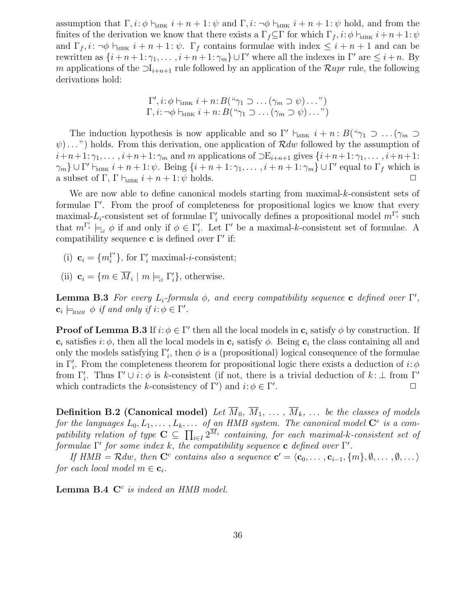assumption that  $\Gamma, i: \phi \vdash_{MBK} i + n + 1: \psi$  and  $\Gamma, i: \neg \phi \vdash_{MBK} i + n + 1: \psi$  hold, and from the finites of the derivation we know that there exists a  $\Gamma_f \subseteq \Gamma$  for which  $\Gamma_f$ ,  $i: \phi \vdash_{\text{MBK}} i + n + 1: \psi$ and  $\Gamma_f, i: \neg \phi \vdash_{MBK} i + n + 1 : \psi$ .  $\Gamma_f$  contains formulae with index  $\leq i + n + 1$  and can be rewritten as  $\{i + n + 1 : \gamma_1, \dots, i + n + 1 : \gamma_m\} \cup \Gamma'$  where all the indexes in  $\Gamma'$  are  $\leq i + n$ . By m applications of the  $\Box$ I<sub>i+n+1</sub> rule followed by an application of the  $\mathcal{R}upr$  rule, the following derivations hold:

$$
\Gamma', i: \phi \vdash_{MBK} i + n: B(" \gamma_1 \supset ... (\gamma_m \supset \psi) ...")
$$
  
 
$$
\Gamma, i: \neg \phi \vdash_{MBK} i + n: B(" \gamma_1 \supset ... (\gamma_m \supset \psi) ...")
$$

The induction hypothesis is now applicable and so  $\Gamma' \vdash_{MBK} i + n : B(\llbracket \gamma_1 \supset ... \supset \gamma_m \supset ... \supset \gamma_m$  $\psi$ )...") holds. From this derivation, one application of  $\mathcal{R}dw$  followed by the assumption of  $i+n+1: \gamma_1, \ldots, i+n+1: \gamma_m$  and m applications of  $\supset E_{i+n+1}$  gives  $\{i+n+1: \gamma_1, \ldots, i+n+1:$  $\gamma_m$ }  $\cup$  Γ'  $\vdash_{\text{MBK}} i + n + 1: \psi$ . Being  $\{i + n + 1: \gamma_1, \ldots, i + n + 1: \gamma_m\}$   $\cup$  Γ' equal to  $\Gamma_f$  which is a subset of Γ, Γ  $\vdash_{\text{MBK}} i + n + 1: \psi$  holds.

We are now able to define canonical models starting from maximal-k-consistent sets of formulae Γ 0 . From the proof of completeness for propositional logics we know that every maximal-L<sub>i</sub>-consistent set of formulae  $\Gamma'_i$  univocally defines a propositional model  $m^{\Gamma'_i}$  such that  $m^{\Gamma'_i} \models_{cl} \phi$  if and only if  $\phi \in \Gamma'_i$ . Let  $\Gamma'$  be a maximal-k-consistent set of formulae. A compatibility sequence **c** is defined over  $\Gamma'$  if:

- (i)  $\mathbf{c}_i = \{m_i^{\Gamma'}\}$ , for  $\Gamma'_i$  maximal-*i*-consistent;
- (ii)  $\mathbf{c}_i = \{m \in \overline{M}_i \mid m \models_{cl} \Gamma'_i\},\$ otherwise.

**Lemma B.3** For every  $L_i$ -formula  $\phi$ , and every compatibility sequence **c** defined over  $\Gamma'$ ,  $\mathbf{c}_i \models_{\text{HMB}} \phi \text{ if and only if } i : \phi \in \Gamma'.$ 

**Proof of Lemma B.3** If  $i: \phi \in \Gamma'$  then all the local models in  $c_i$  satisfy  $\phi$  by construction. If  $c_i$  satisfies i:  $\phi$ , then all the local models in  $c_i$  satisfy  $\phi$ . Being  $c_i$  the class containing all and only the models satisfying  $\Gamma'_i$ , then  $\phi$  is a (propositional) logical consequence of the formulae in  $\Gamma_i'$ . From the completeness theorem for propositional logic there exists a deduction of  $i: \phi$ from  $\Gamma'_i$ . Thus  $\Gamma' \cup i : \phi$  is k-consistent (if not, there is a trivial deduction of  $k : \bot$  from  $\Gamma'$ which contradicts the k-consistency of  $\Gamma'$ ) and  $i: \phi \in \Gamma'$ . <mark>□</mark>

**Definition B.2 (Canonical model)** Let  $\overline{M}_0$ ,  $\overline{M}_1$ , ...,  $\overline{M}_k$ , ... be the classes of models for the languages  $L_0, L_1, \ldots, L_k, \ldots$  of an HMB system. The canonical model  $\mathbf{C}^c$  is a compatibility relation of type  $C \subseteq \prod_{i \in I} 2^{M_i}$  containing, for each maximal-k-consistent set of formulae  $\Gamma'$  for some index k, the compatibility sequence **c** defined over  $\Gamma'$ .

If HMB = Rdw, then  $\mathbf{C}^c$  contains also a sequence  $\mathbf{c}' = \langle \mathbf{c}_0, \ldots, \mathbf{c}_{i-1}, \{m\}, \emptyset, \ldots, \emptyset, \ldots \rangle$ for each local model  $m \in \mathbf{c}_i$ .

Lemma B.4  $\mathbb{C}^c$  is indeed an HMB model.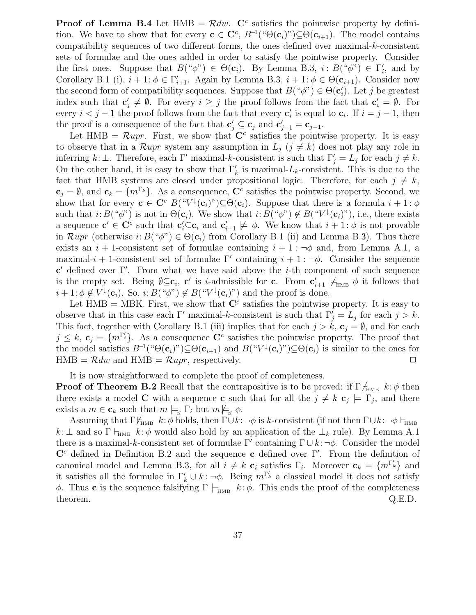**Proof of Lemma B.4** Let  $HMB = \mathcal{R}dw$ . C<sup>c</sup> satisfies the pointwise property by definition. We have to show that for every  $\mathbf{c} \in \mathbf{C}^c$ ,  $B^{-1}(\text{``}\Theta(\mathbf{c}_i)\text{''}) \subseteq \Theta(\mathbf{c}_{i+1})$ . The model contains compatibility sequences of two different forms, the ones defined over maximal- $k$ -consistent sets of formulae and the ones added in order to satisfy the pointwise property. Consider the first ones. Suppose that  $B(\check{\varphi}) \in \Theta(\mathbf{c}_i)$ . By Lemma B.3,  $i : B(\check{\varphi}) \in \Gamma'_i$ , and by Corollary B.1 (i),  $i + 1: \phi \in \Gamma'_{i+1}$ . Again by Lemma B.3,  $i + 1: \phi \in \Theta(\mathbf{c}_{i+1})$ . Consider now the second form of compatibility sequences. Suppose that  $B(\check{\phi}) \in \Theta(\mathbf{c}'_i)$ . Let j be greatest index such that  $c'_j \neq \emptyset$ . For every  $i \geq j$  the proof follows from the fact that  $c'_i = \emptyset$ . For every  $i < j - 1$  the proof follows from the fact that every  $c'_i$  is equal to  $c_i$ . If  $i = j - 1$ , then the proof is a consequence of the fact that  $\mathbf{c}'_j \subseteq \mathbf{c}_j$  and  $\mathbf{c}'_{j-1} = \mathbf{c}_{j-1}$ .

Let HMB =  $\mathcal{R}upr$ . First, we show that  $\mathbb{C}^c$  satisfies the pointwise property. It is easy to observe that in a Rupr system any assumption in  $L_j$   $(j \neq k)$  does not play any role in inferring k:  $\perp$ . Therefore, each Γ' maximal-k-consistent is such that  $\Gamma'_j = L_j$  for each  $j \neq k$ . On the other hand, it is easy to show that  $\Gamma'_k$  is maximal- $L_k$ -consistent. This is due to the fact that HMB systems are closed under propositional logic. Therefore, for each  $j \neq k$ ,  $c_j = \emptyset$ , and  $c_k = \{m^{\Gamma_k}\}\.$  As a consequence,  $\mathbb{C}^c$  satisfies the pointwise property. Second, we show that for every  $c \in \mathbb{C}^c$   $B({^\omega}V^{\downarrow}(\mathbf{c}_i)^{\omega}) \subseteq \Theta(\mathbf{c}_i)$ . Suppose that there is a formula  $i+1$ :  $\phi$ such that  $i: B(\lq\phi)$  is not in  $\Theta(\mathbf{c}_i)$ . We show that  $i: B(\lq\phi) \notin B(\lq\lq V^{\downarrow}(\mathbf{c}_i))$ , i.e., there exists a sequence  $\mathbf{c}' \in \mathbf{C}^c$  such that  $\mathbf{c}'_i \subseteq \mathbf{c}_i$  and  $\mathbf{c}'_{i+1} \not\models \phi$ . We know that  $i+1 : \phi$  is not provable in  $\mathcal{R}upr$  (otherwise  $i: B(\mathfrak{g}^n) \in \Theta(\mathbf{c}_i)$  from Corollary B.1 (ii) and Lemma B.3). Thus there exists an  $i + 1$ -consistent set of formulae containing  $i + 1$ :  $\neg \phi$  and, from Lemma A.1, a maximal-i + 1-consistent set of formulae  $\Gamma'$  containing  $i + 1$ :  $\neg \phi$ . Consider the sequence  $c'$  defined over Γ'. From what we have said above the *i*-th component of such sequence is the empty set. Being  $\emptyset \subseteq \mathbf{c}_i$ , c' is *i*-admissible for **c**. From  $\mathbf{c}'_{i+1} \not\models_{\text{HMB}} \phi$  it follows that  $i+1: \phi \notin V^{\downarrow}(\mathbf{c}_i)$ . So,  $i: B({}``\phi") \notin B({}``V^{\downarrow}(\mathbf{c}_i)"$  and the proof is done.

Let HMB = MBK. First, we show that  $\mathbb{C}^c$  satisfies the pointwise property. It is easy to observe that in this case each  $\Gamma'$  maximal-k-consistent is such that  $\Gamma'_j = L_j$  for each  $j > k$ . This fact, together with Corollary B.1 (iii) implies that for each  $j > k$ ,  $c_j = \emptyset$ , and for each  $j \leq k$ ,  $\mathbf{c}_j = \{m^{\Gamma'_i}\}\$ . As a consequence  $\mathbf{C}^c$  satisfies the pointwise property. The proof that the model satisfies  $B^{-1}({}^{\alpha}\Theta(\mathbf{c}_i)^{\gamma})\subseteq\Theta(\mathbf{c}_{i+1})$  and  $B({}^{\alpha}V^{\downarrow}(\mathbf{c}_i)^{\gamma})\subseteq\Theta(\mathbf{c}_i)$  is similar to the ones for  $HMB = \mathcal{R}dw$  and  $HMB = \mathcal{R}upr$ , respectively.

It is now straightforward to complete the proof of completeness.

**Proof of Theorem B.2** Recall that the contrapositive is to be proved: if  $\Gamma \not\models_{HMB} k:\phi$  then there exists a model C with a sequence c such that for all the  $j \neq k$  c<sub>j</sub>  $\models \Gamma_j$ , and there exists a  $m \in \mathbf{c}_k$  such that  $m \models_{cl} \Gamma_i$  but  $m \not\models_{cl} \phi$ .

Assuming that  $\Gamma \not\models_{\text{HMB}} k:\phi$  holds, then  $\Gamma \cup k:\neg \phi$  is k-consistent (if not then  $\Gamma \cup k:\neg \phi \vdash_{\text{HMB}}$  $k: \perp$  and so  $\Gamma \vdash_{\text{HMB}} k: \phi$  would also hold by an application of the  $\perp_k$  rule). By Lemma A.1 there is a maximal-k-consistent set of formulae  $\Gamma'$  containing  $\Gamma \cup k$ :  $\neg \phi$ . Consider the model  $\mathbb{C}^c$  defined in Definition B.2 and the sequence c defined over Γ'. From the definition of canonical model and Lemma B.3, for all  $i \neq k$  c<sub>i</sub> satisfies  $\Gamma_i$ . Moreover c<sub>k</sub> = { $m^{\Gamma'_k}$ } and it satisfies all the formulae in  $\Gamma'_k \cup k : \neg \phi$ . Being  $m^{\Gamma'_k}$  a classical model it does not satisfy φ. Thus **c** is the sequence falsifying  $\Gamma \models_{HMB} k:\phi$ . This ends the proof of the completeness theorem.  $Q.E.D.$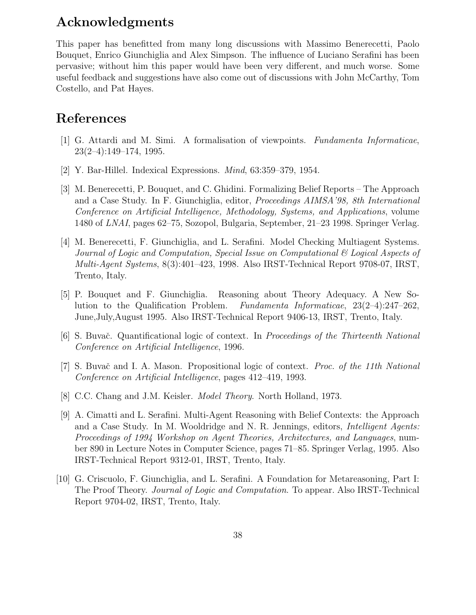# Acknowledgments

This paper has benefitted from many long discussions with Massimo Benerecetti, Paolo Bouquet, Enrico Giunchiglia and Alex Simpson. The influence of Luciano Serafini has been pervasive; without him this paper would have been very different, and much worse. Some useful feedback and suggestions have also come out of discussions with John McCarthy, Tom Costello, and Pat Hayes.

## References

- [1] G. Attardi and M. Simi. A formalisation of viewpoints. Fundamenta Informaticae, 23(2–4):149–174, 1995.
- [2] Y. Bar-Hillel. Indexical Expressions. Mind, 63:359–379, 1954.
- [3] M. Benerecetti, P. Bouquet, and C. Ghidini. Formalizing Belief Reports The Approach and a Case Study. In F. Giunchiglia, editor, Proceedings AIMSA'98, 8th International Conference on Artificial Intelligence, Methodology, Systems, and Applications, volume 1480 of LNAI, pages 62–75, Sozopol, Bulgaria, September, 21–23 1998. Springer Verlag.
- [4] M. Benerecetti, F. Giunchiglia, and L. Serafini. Model Checking Multiagent Systems. Journal of Logic and Computation, Special Issue on Computational & Logical Aspects of Multi-Agent Systems, 8(3):401–423, 1998. Also IRST-Technical Report 9708-07, IRST, Trento, Italy.
- [5] P. Bouquet and F. Giunchiglia. Reasoning about Theory Adequacy. A New Solution to the Qualification Problem. Fundamenta Informaticae, 23(2–4):247–262, June,July,August 1995. Also IRST-Technical Report 9406-13, IRST, Trento, Italy.
- [6] S. Buvač. Quantificational logic of context. In Proceedings of the Thirteenth National Conference on Artificial Intelligence, 1996.
- [7] S. Buvač and I. A. Mason. Propositional logic of context. *Proc. of the 11th National* Conference on Artificial Intelligence, pages 412–419, 1993.
- [8] C.C. Chang and J.M. Keisler. *Model Theory*. North Holland, 1973.
- [9] A. Cimatti and L. Serafini. Multi-Agent Reasoning with Belief Contexts: the Approach and a Case Study. In M. Wooldridge and N. R. Jennings, editors, Intelligent Agents: Proceedings of 1994 Workshop on Agent Theories, Architectures, and Languages, number 890 in Lecture Notes in Computer Science, pages 71–85. Springer Verlag, 1995. Also IRST-Technical Report 9312-01, IRST, Trento, Italy.
- [10] G. Criscuolo, F. Giunchiglia, and L. Serafini. A Foundation for Metareasoning, Part I: The Proof Theory. Journal of Logic and Computation. To appear. Also IRST-Technical Report 9704-02, IRST, Trento, Italy.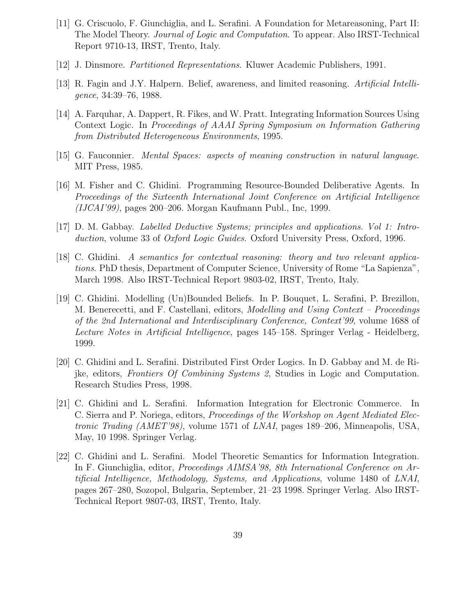- [11] G. Criscuolo, F. Giunchiglia, and L. Serafini. A Foundation for Metareasoning, Part II: The Model Theory. Journal of Logic and Computation. To appear. Also IRST-Technical Report 9710-13, IRST, Trento, Italy.
- [12] J. Dinsmore. Partitioned Representations. Kluwer Academic Publishers, 1991.
- [13] R. Fagin and J.Y. Halpern. Belief, awareness, and limited reasoning. Artificial Intelligence, 34:39–76, 1988.
- [14] A. Farquhar, A. Dappert, R. Fikes, and W. Pratt. Integrating Information Sources Using Context Logic. In Proceedings of AAAI Spring Symposium on Information Gathering from Distributed Heterogeneous Environments, 1995.
- [15] G. Fauconnier. Mental Spaces: aspects of meaning construction in natural language. MIT Press, 1985.
- [16] M. Fisher and C. Ghidini. Programming Resource-Bounded Deliberative Agents. In Proceedings of the Sixteenth International Joint Conference on Artificial Intelligence (IJCAI'99), pages 200–206. Morgan Kaufmann Publ., Inc, 1999.
- [17] D. M. Gabbay. Labelled Deductive Systems; principles and applications. Vol 1: Introduction, volume 33 of *Oxford Logic Guides*. Oxford University Press, Oxford, 1996.
- [18] C. Ghidini. A semantics for contextual reasoning: theory and two relevant applications. PhD thesis, Department of Computer Science, University of Rome "La Sapienza", March 1998. Also IRST-Technical Report 9803-02, IRST, Trento, Italy.
- [19] C. Ghidini. Modelling (Un)Bounded Beliefs. In P. Bouquet, L. Serafini, P. Brezillon, M. Benerecetti, and F. Castellani, editors, *Modelling and Using Context – Proceedings* of the 2nd International and Interdisciplinary Conference, Context'99, volume 1688 of Lecture Notes in Artificial Intelligence, pages 145–158. Springer Verlag - Heidelberg, 1999.
- [20] C. Ghidini and L. Serafini. Distributed First Order Logics. In D. Gabbay and M. de Rijke, editors, Frontiers Of Combining Systems 2, Studies in Logic and Computation. Research Studies Press, 1998.
- [21] C. Ghidini and L. Serafini. Information Integration for Electronic Commerce. In C. Sierra and P. Noriega, editors, Proceedings of the Workshop on Agent Mediated Electronic Trading (AMET'98), volume 1571 of LNAI, pages 189–206, Minneapolis, USA, May, 10 1998. Springer Verlag.
- [22] C. Ghidini and L. Serafini. Model Theoretic Semantics for Information Integration. In F. Giunchiglia, editor, Proceedings AIMSA'98, 8th International Conference on Artificial Intelligence, Methodology, Systems, and Applications, volume 1480 of LNAI, pages 267–280, Sozopol, Bulgaria, September, 21–23 1998. Springer Verlag. Also IRST-Technical Report 9807-03, IRST, Trento, Italy.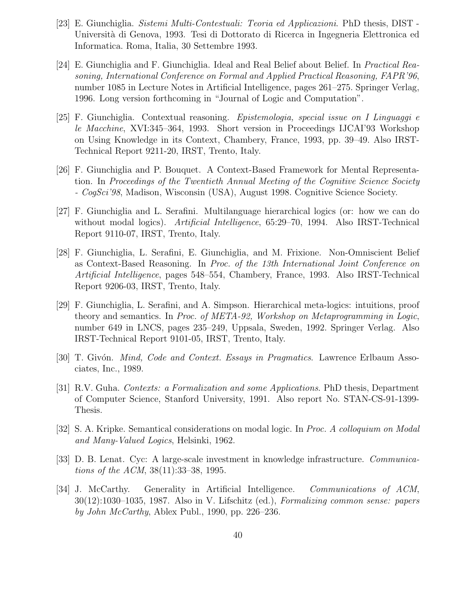- [23] E. Giunchiglia. Sistemi Multi-Contestuali: Teoria ed Applicazioni. PhD thesis, DIST Universit`a di Genova, 1993. Tesi di Dottorato di Ricerca in Ingegneria Elettronica ed Informatica. Roma, Italia, 30 Settembre 1993.
- [24] E. Giunchiglia and F. Giunchiglia. Ideal and Real Belief about Belief. In Practical Reasoning, International Conference on Formal and Applied Practical Reasoning, FAPR'96, number 1085 in Lecture Notes in Artificial Intelligence, pages 261–275. Springer Verlag, 1996. Long version forthcoming in "Journal of Logic and Computation".
- [25] F. Giunchiglia. Contextual reasoning. Epistemologia, special issue on I Linguaggi e le Macchine, XVI:345–364, 1993. Short version in Proceedings IJCAI'93 Workshop on Using Knowledge in its Context, Chambery, France, 1993, pp. 39–49. Also IRST-Technical Report 9211-20, IRST, Trento, Italy.
- [26] F. Giunchiglia and P. Bouquet. A Context-Based Framework for Mental Representation. In Proceedings of the Twentieth Annual Meeting of the Cognitive Science Society - CogSci'98, Madison, Wisconsin (USA), August 1998. Cognitive Science Society.
- [27] F. Giunchiglia and L. Serafini. Multilanguage hierarchical logics (or: how we can do without modal logics). Artificial Intelligence, 65:29–70, 1994. Also IRST-Technical Report 9110-07, IRST, Trento, Italy.
- [28] F. Giunchiglia, L. Serafini, E. Giunchiglia, and M. Frixione. Non-Omniscient Belief as Context-Based Reasoning. In Proc. of the 13th International Joint Conference on Artificial Intelligence, pages 548–554, Chambery, France, 1993. Also IRST-Technical Report 9206-03, IRST, Trento, Italy.
- [29] F. Giunchiglia, L. Serafini, and A. Simpson. Hierarchical meta-logics: intuitions, proof theory and semantics. In Proc. of META-92, Workshop on Metaprogramming in Logic, number 649 in LNCS, pages 235–249, Uppsala, Sweden, 1992. Springer Verlag. Also IRST-Technical Report 9101-05, IRST, Trento, Italy.
- [30] T. Givón. *Mind, Code and Context. Essays in Pragmatics*. Lawrence Erlbaum Associates, Inc., 1989.
- [31] R.V. Guha. Contexts: a Formalization and some Applications. PhD thesis, Department of Computer Science, Stanford University, 1991. Also report No. STAN-CS-91-1399- Thesis.
- [32] S. A. Kripke. Semantical considerations on modal logic. In Proc. A colloquium on Modal and Many-Valued Logics, Helsinki, 1962.
- [33] D. B. Lenat. Cyc: A large-scale investment in knowledge infrastructure. Communications of the ACM, 38(11):33–38, 1995.
- [34] J. McCarthy. Generality in Artificial Intelligence. Communications of ACM,  $30(12):1030-1035$ , 1987. Also in V. Lifschitz (ed.), Formalizing common sense: papers by John McCarthy, Ablex Publ., 1990, pp. 226–236.